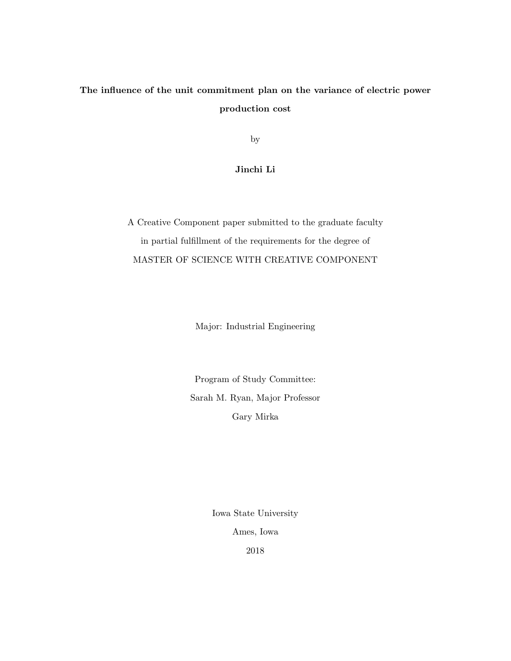# The influence of the unit commitment plan on the variance of electric power production cost

by

# Jinchi Li

A Creative Component paper submitted to the graduate faculty in partial fulfillment of the requirements for the degree of MASTER OF SCIENCE WITH CREATIVE COMPONENT

Major: Industrial Engineering

Program of Study Committee: Sarah M. Ryan, Major Professor Gary Mirka

> Iowa State University Ames, Iowa 2018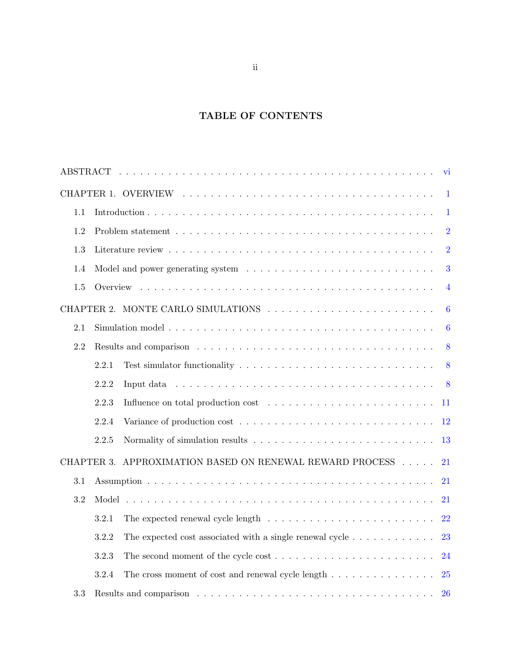# TABLE OF CONTENTS

|              |       |                                                                                             | vi               |  |  |  |  |  |  |
|--------------|-------|---------------------------------------------------------------------------------------------|------------------|--|--|--|--|--|--|
| $\mathbf{1}$ |       |                                                                                             |                  |  |  |  |  |  |  |
| 1.1          |       |                                                                                             | $\mathbf{1}$     |  |  |  |  |  |  |
| 1.2          |       |                                                                                             | $\overline{2}$   |  |  |  |  |  |  |
| 1.3          |       |                                                                                             | $\overline{2}$   |  |  |  |  |  |  |
| 1.4          |       |                                                                                             | 3                |  |  |  |  |  |  |
| 1.5          |       |                                                                                             | $\overline{4}$   |  |  |  |  |  |  |
|              |       |                                                                                             | $6\phantom{.}6$  |  |  |  |  |  |  |
| 2.1          |       |                                                                                             | $\boldsymbol{6}$ |  |  |  |  |  |  |
| 2.2          |       |                                                                                             | 8                |  |  |  |  |  |  |
|              | 2.2.1 |                                                                                             | 8                |  |  |  |  |  |  |
|              | 2.2.2 |                                                                                             | 8                |  |  |  |  |  |  |
|              | 2.2.3 |                                                                                             | -11              |  |  |  |  |  |  |
|              | 2.2.4 |                                                                                             | <sup>12</sup>    |  |  |  |  |  |  |
|              | 2.2.5 |                                                                                             | 13               |  |  |  |  |  |  |
|              |       | CHAPTER 3. APPROXIMATION BASED ON RENEWAL REWARD PROCESS                                    | 21               |  |  |  |  |  |  |
| 3.1          |       |                                                                                             | 21               |  |  |  |  |  |  |
| 3.2          |       |                                                                                             | 21               |  |  |  |  |  |  |
|              | 3.2.1 | The expected renewal cycle length $\ldots \ldots \ldots \ldots \ldots \ldots \ldots \ldots$ | 22               |  |  |  |  |  |  |
|              | 3.2.2 | The expected cost associated with a single renewal cycle $\dots \dots \dots \dots$          | 23               |  |  |  |  |  |  |
|              | 3.2.3 |                                                                                             | 24               |  |  |  |  |  |  |
|              | 3.2.4 |                                                                                             | <b>25</b>        |  |  |  |  |  |  |
| 3.3          |       |                                                                                             | <b>26</b>        |  |  |  |  |  |  |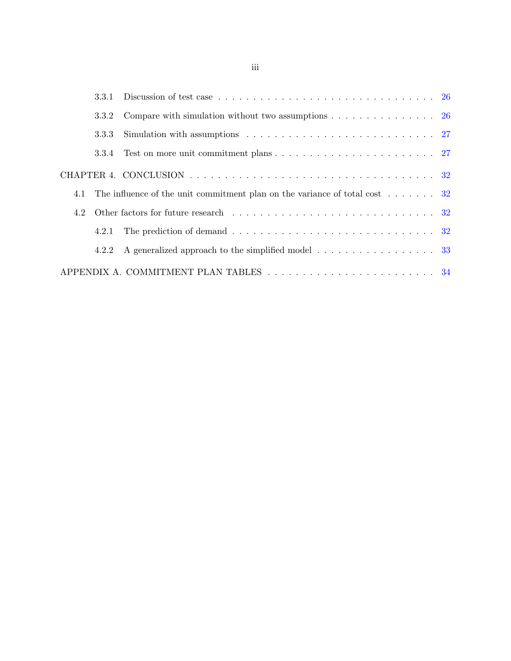| 3.3.1 | Discussion of test case $\ldots \ldots \ldots \ldots \ldots \ldots \ldots \ldots \ldots \ldots \ldots 26$ |
|-------|-----------------------------------------------------------------------------------------------------------|
| 3.3.2 | Compare with simulation without two assumptions $\dots \dots \dots \dots \dots$ 26                        |
| 3.3.3 |                                                                                                           |
| 3.3.4 |                                                                                                           |
|       |                                                                                                           |
| 4.1   | The influence of the unit commitment plan on the variance of total cost $\dots \dots$ 32                  |
| 4.2   |                                                                                                           |
| 4.2.1 |                                                                                                           |
| 4.2.2 | A generalized approach to the simplified model 33                                                         |
|       |                                                                                                           |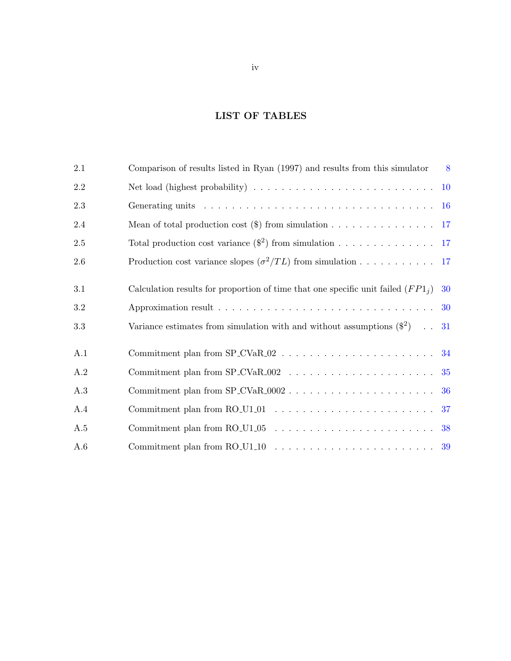# LIST OF TABLES

| 2.1       | Comparison of results listed in Ryan (1997) and results from this simulator                              | 8         |
|-----------|----------------------------------------------------------------------------------------------------------|-----------|
| $2.2\,$   | Net load (highest probability) $\ldots \ldots \ldots \ldots \ldots \ldots \ldots \ldots$                 | <b>10</b> |
| 2.3       |                                                                                                          | <b>16</b> |
| $2.4\,$   | Mean of total production cost $(\text{\$})$ from simulation 17                                           |           |
| $2.5\,$   | Total production cost variance $(\frac{2}{3})$ from simulation 17                                        |           |
| $2.6\,$   | Production cost variance slopes $\left(\frac{\sigma^2}{TL}\right)$ from simulation 17                    |           |
| 3.1       | Calculation results for proportion of time that one specific unit failed $(FP1_i)$                       | 30        |
| $\!3.2\!$ |                                                                                                          | 30        |
| 3.3       | Variance estimates from simulation with and without assumptions $(\$^2)$ .                               | 31        |
| A.1       |                                                                                                          |           |
| A.2       |                                                                                                          |           |
| A.3       |                                                                                                          | 36        |
| A.4       | Commitment plan from $RO_U1_01 \ldots \ldots \ldots \ldots \ldots \ldots \ldots$                         | 37        |
| A.5       |                                                                                                          | 38        |
| A.6       | Commitment plan from RO_U1_10 $\ldots \ldots \ldots \ldots \ldots \ldots \ldots \ldots \ldots \ldots$ 39 |           |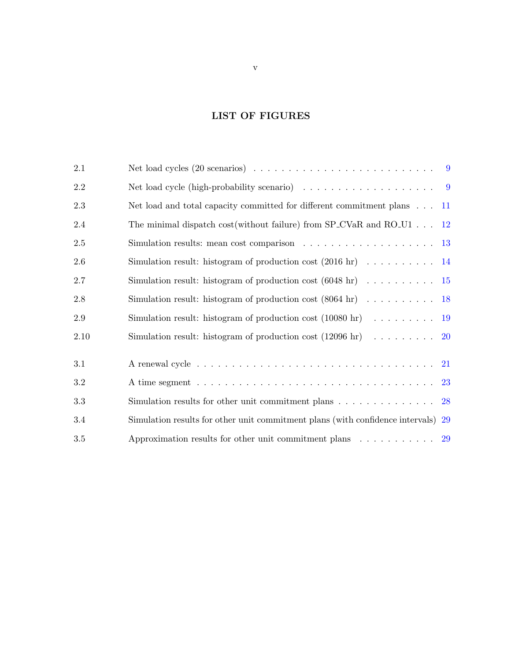# LIST OF FIGURES

<span id="page-4-0"></span>

| $2.1\,$  |                                                                                                      |    |
|----------|------------------------------------------------------------------------------------------------------|----|
| $2.2\,$  | Net load cycle (high-probability scenario) $\ldots \ldots \ldots \ldots \ldots$                      |    |
| $2.3\,$  | Net load and total capacity committed for different commitment plans 11                              |    |
| $2.4\,$  | The minimal dispatch cost(without failure) from SP_CVaR and RO_U1 $\dots$ 12                         |    |
| $2.5\,$  | Simulation results: mean cost comparison $\ldots \ldots \ldots \ldots \ldots \ldots$ 13              |    |
| $2.6\,$  | Simulation result: histogram of production cost $(2016 \text{ hr})$ 14                               |    |
| $2.7\,$  | Simulation result: histogram of production cost $(6048 \text{ hr})$ 15                               |    |
| $2.8\,$  | Simulation result: histogram of production cost $(8064 \text{ hr})$ 18                               |    |
| $2.9\,$  | Simulation result: histogram of production cost $(10080 \text{ hr})$ 19                              |    |
| $2.10\,$ | Simulation result: histogram of production cost $(12096 \text{ hr})$ 20                              |    |
| 3.1      | A renewal cycle $\ldots \ldots \ldots \ldots \ldots \ldots \ldots \ldots \ldots \ldots \ldots$       |    |
| 3.2      | A time segment $\ldots \ldots \ldots \ldots \ldots \ldots \ldots \ldots \ldots \ldots \ldots \ldots$ |    |
| $\!3.3$  | Simulation results for other unit commitment plans $\dots \dots \dots \dots \dots$                   | 28 |
| 3.4      | Simulation results for other unit commitment plans (with confidence intervals) 29                    |    |
| $3.5\,$  | Approximation results for other unit commitment plans $\ldots \ldots \ldots$ 29                      |    |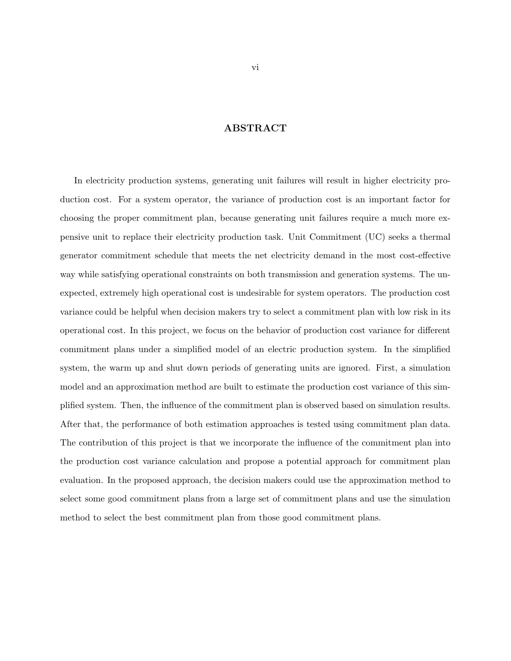# ABSTRACT

In electricity production systems, generating unit failures will result in higher electricity production cost. For a system operator, the variance of production cost is an important factor for choosing the proper commitment plan, because generating unit failures require a much more expensive unit to replace their electricity production task. Unit Commitment (UC) seeks a thermal generator commitment schedule that meets the net electricity demand in the most cost-effective way while satisfying operational constraints on both transmission and generation systems. The unexpected, extremely high operational cost is undesirable for system operators. The production cost variance could be helpful when decision makers try to select a commitment plan with low risk in its operational cost. In this project, we focus on the behavior of production cost variance for different commitment plans under a simplified model of an electric production system. In the simplified system, the warm up and shut down periods of generating units are ignored. First, a simulation model and an approximation method are built to estimate the production cost variance of this simplified system. Then, the influence of the commitment plan is observed based on simulation results. After that, the performance of both estimation approaches is tested using commitment plan data. The contribution of this project is that we incorporate the influence of the commitment plan into the production cost variance calculation and propose a potential approach for commitment plan evaluation. In the proposed approach, the decision makers could use the approximation method to select some good commitment plans from a large set of commitment plans and use the simulation method to select the best commitment plan from those good commitment plans.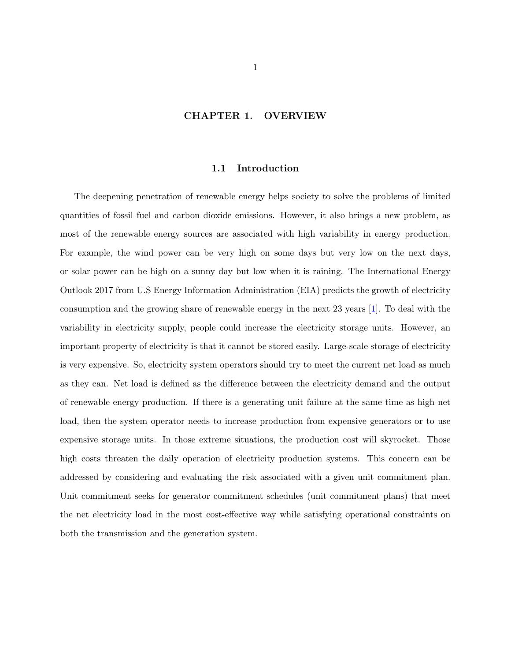## CHAPTER 1. OVERVIEW

### 1.1 Introduction

<span id="page-6-0"></span>The deepening penetration of renewable energy helps society to solve the problems of limited quantities of fossil fuel and carbon dioxide emissions. However, it also brings a new problem, as most of the renewable energy sources are associated with high variability in energy production. For example, the wind power can be very high on some days but very low on the next days, or solar power can be high on a sunny day but low when it is raining. The International Energy Outlook 2017 from U.S Energy Information Administration (EIA) predicts the growth of electricity consumption and the growing share of renewable energy in the next 23 years [\[1\]](#page-45-0). To deal with the variability in electricity supply, people could increase the electricity storage units. However, an important property of electricity is that it cannot be stored easily. Large-scale storage of electricity is very expensive. So, electricity system operators should try to meet the current net load as much as they can. Net load is defined as the difference between the electricity demand and the output of renewable energy production. If there is a generating unit failure at the same time as high net load, then the system operator needs to increase production from expensive generators or to use expensive storage units. In those extreme situations, the production cost will skyrocket. Those high costs threaten the daily operation of electricity production systems. This concern can be addressed by considering and evaluating the risk associated with a given unit commitment plan. Unit commitment seeks for generator commitment schedules (unit commitment plans) that meet the net electricity load in the most cost-effective way while satisfying operational constraints on both the transmission and the generation system.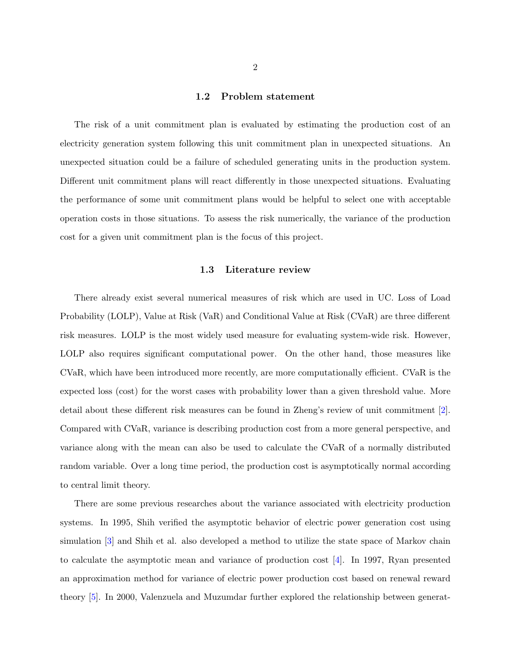### 1.2 Problem statement

<span id="page-7-0"></span>The risk of a unit commitment plan is evaluated by estimating the production cost of an electricity generation system following this unit commitment plan in unexpected situations. An unexpected situation could be a failure of scheduled generating units in the production system. Different unit commitment plans will react differently in those unexpected situations. Evaluating the performance of some unit commitment plans would be helpful to select one with acceptable operation costs in those situations. To assess the risk numerically, the variance of the production cost for a given unit commitment plan is the focus of this project.

### 1.3 Literature review

There already exist several numerical measures of risk which are used in UC. Loss of Load Probability (LOLP), Value at Risk (VaR) and Conditional Value at Risk (CVaR) are three different risk measures. LOLP is the most widely used measure for evaluating system-wide risk. However, LOLP also requires significant computational power. On the other hand, those measures like CVaR, which have been introduced more recently, are more computationally efficient. CVaR is the expected loss (cost) for the worst cases with probability lower than a given threshold value. More detail about these different risk measures can be found in Zheng's review of unit commitment [\[2\]](#page-45-0). Compared with CVaR, variance is describing production cost from a more general perspective, and variance along with the mean can also be used to calculate the CVaR of a normally distributed random variable. Over a long time period, the production cost is asymptotically normal according to central limit theory.

There are some previous researches about the variance associated with electricity production systems. In 1995, Shih verified the asymptotic behavior of electric power generation cost using simulation [\[3\]](#page-45-0) and Shih et al. also developed a method to utilize the state space of Markov chain to calculate the asymptotic mean and variance of production cost [\[4\]](#page-45-0). In 1997, Ryan presented an approximation method for variance of electric power production cost based on renewal reward theory [\[5\]](#page-45-0). In 2000, Valenzuela and Muzumdar further explored the relationship between generat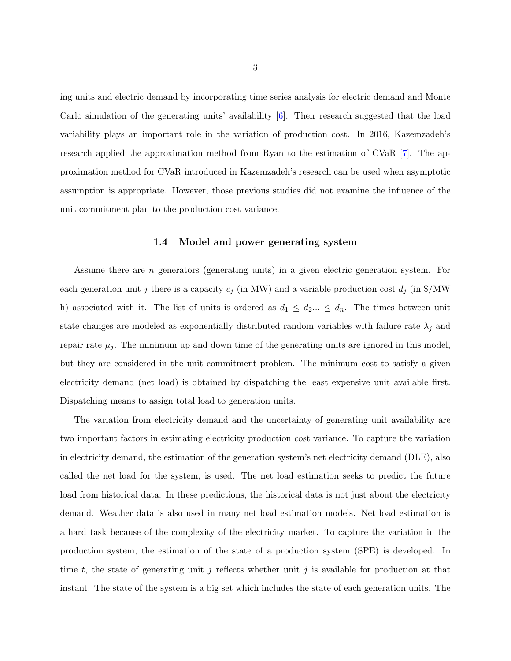<span id="page-8-0"></span>ing units and electric demand by incorporating time series analysis for electric demand and Monte Carlo simulation of the generating units' availability [\[6\]](#page-45-0). Their research suggested that the load variability plays an important role in the variation of production cost. In 2016, Kazemzadeh's research applied the approximation method from Ryan to the estimation of CVaR [\[7\]](#page-45-0). The approximation method for CVaR introduced in Kazemzadeh's research can be used when asymptotic assumption is appropriate. However, those previous studies did not examine the influence of the unit commitment plan to the production cost variance.

## 1.4 Model and power generating system

Assume there are n generators (generating units) in a given electric generation system. For each generation unit j there is a capacity  $c_j$  (in MW) and a variable production cost  $d_j$  (in \$/MW) h) associated with it. The list of units is ordered as  $d_1 \leq d_2... \leq d_n$ . The times between unit state changes are modeled as exponentially distributed random variables with failure rate  $\lambda_i$  and repair rate  $\mu_j$ . The minimum up and down time of the generating units are ignored in this model, but they are considered in the unit commitment problem. The minimum cost to satisfy a given electricity demand (net load) is obtained by dispatching the least expensive unit available first. Dispatching means to assign total load to generation units.

The variation from electricity demand and the uncertainty of generating unit availability are two important factors in estimating electricity production cost variance. To capture the variation in electricity demand, the estimation of the generation system's net electricity demand (DLE), also called the net load for the system, is used. The net load estimation seeks to predict the future load from historical data. In these predictions, the historical data is not just about the electricity demand. Weather data is also used in many net load estimation models. Net load estimation is a hard task because of the complexity of the electricity market. To capture the variation in the production system, the estimation of the state of a production system (SPE) is developed. In time t, the state of generating unit j reflects whether unit j is available for production at that instant. The state of the system is a big set which includes the state of each generation units. The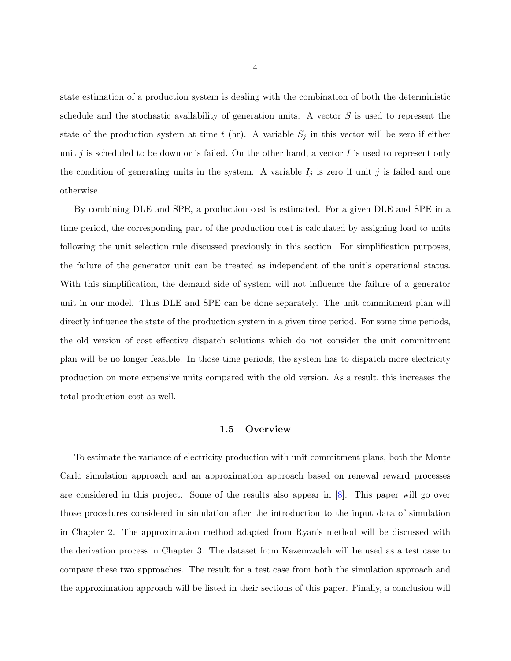<span id="page-9-0"></span>state estimation of a production system is dealing with the combination of both the deterministic schedule and the stochastic availability of generation units. A vector  $S$  is used to represent the state of the production system at time t (hr). A variable  $S_j$  in this vector will be zero if either unit j is scheduled to be down or is failed. On the other hand, a vector I is used to represent only the condition of generating units in the system. A variable  $I_j$  is zero if unit j is failed and one otherwise.

By combining DLE and SPE, a production cost is estimated. For a given DLE and SPE in a time period, the corresponding part of the production cost is calculated by assigning load to units following the unit selection rule discussed previously in this section. For simplification purposes, the failure of the generator unit can be treated as independent of the unit's operational status. With this simplification, the demand side of system will not influence the failure of a generator unit in our model. Thus DLE and SPE can be done separately. The unit commitment plan will directly influence the state of the production system in a given time period. For some time periods, the old version of cost effective dispatch solutions which do not consider the unit commitment plan will be no longer feasible. In those time periods, the system has to dispatch more electricity production on more expensive units compared with the old version. As a result, this increases the total production cost as well.

## 1.5 Overview

To estimate the variance of electricity production with unit commitment plans, both the Monte Carlo simulation approach and an approximation approach based on renewal reward processes are considered in this project. Some of the results also appear in [\[8\]](#page-45-0). This paper will go over those procedures considered in simulation after the introduction to the input data of simulation in Chapter 2. The approximation method adapted from Ryan's method will be discussed with the derivation process in Chapter 3. The dataset from Kazemzadeh will be used as a test case to compare these two approaches. The result for a test case from both the simulation approach and the approximation approach will be listed in their sections of this paper. Finally, a conclusion will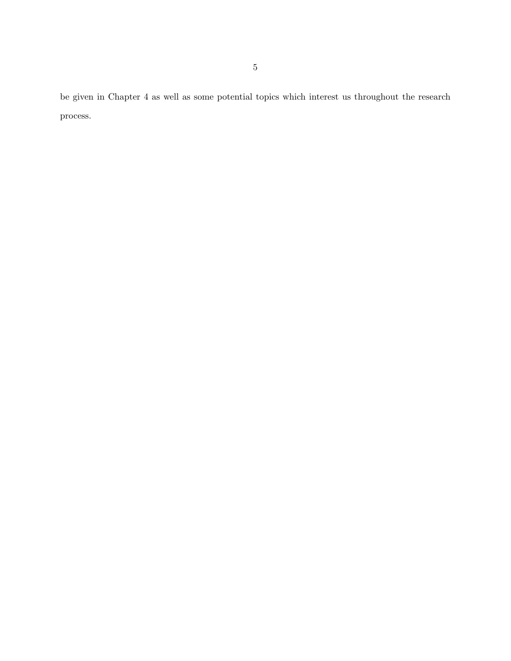be given in Chapter 4 as well as some potential topics which interest us throughout the research process.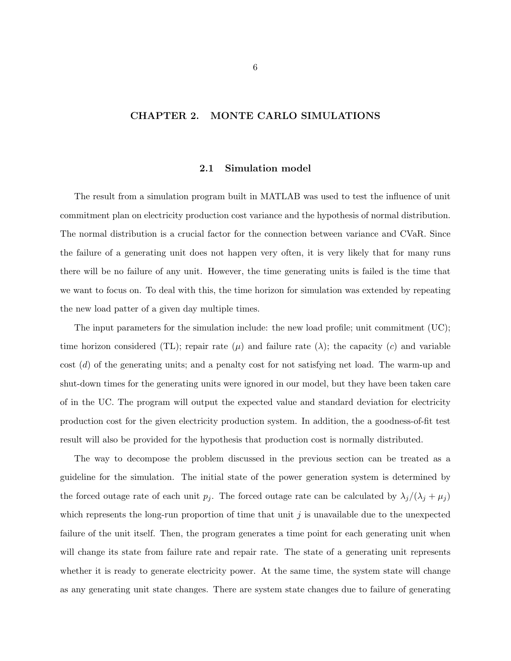# <span id="page-11-0"></span>CHAPTER 2. MONTE CARLO SIMULATIONS

### 2.1 Simulation model

The result from a simulation program built in MATLAB was used to test the influence of unit commitment plan on electricity production cost variance and the hypothesis of normal distribution. The normal distribution is a crucial factor for the connection between variance and CVaR. Since the failure of a generating unit does not happen very often, it is very likely that for many runs there will be no failure of any unit. However, the time generating units is failed is the time that we want to focus on. To deal with this, the time horizon for simulation was extended by repeating the new load patter of a given day multiple times.

The input parameters for the simulation include: the new load profile; unit commitment (UC); time horizon considered (TL); repair rate ( $\mu$ ) and failure rate ( $\lambda$ ); the capacity (c) and variable cost (d) of the generating units; and a penalty cost for not satisfying net load. The warm-up and shut-down times for the generating units were ignored in our model, but they have been taken care of in the UC. The program will output the expected value and standard deviation for electricity production cost for the given electricity production system. In addition, the a goodness-of-fit test result will also be provided for the hypothesis that production cost is normally distributed.

The way to decompose the problem discussed in the previous section can be treated as a guideline for the simulation. The initial state of the power generation system is determined by the forced outage rate of each unit  $p_j$ . The forced outage rate can be calculated by  $\lambda_j/(\lambda_j + \mu_j)$ which represents the long-run proportion of time that unit  $i$  is unavailable due to the unexpected failure of the unit itself. Then, the program generates a time point for each generating unit when will change its state from failure rate and repair rate. The state of a generating unit represents whether it is ready to generate electricity power. At the same time, the system state will change as any generating unit state changes. There are system state changes due to failure of generating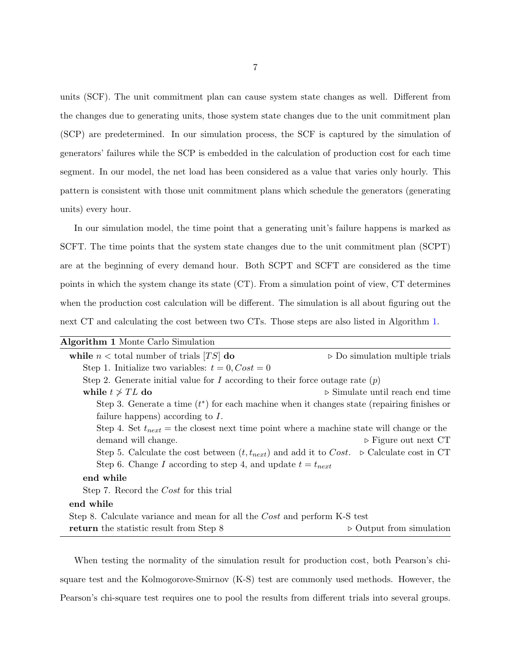units (SCF). The unit commitment plan can cause system state changes as well. Different from the changes due to generating units, those system state changes due to the unit commitment plan (SCP) are predetermined. In our simulation process, the SCF is captured by the simulation of generators' failures while the SCP is embedded in the calculation of production cost for each time segment. In our model, the net load has been considered as a value that varies only hourly. This pattern is consistent with those unit commitment plans which schedule the generators (generating units) every hour.

In our simulation model, the time point that a generating unit's failure happens is marked as SCFT. The time points that the system state changes due to the unit commitment plan (SCPT) are at the beginning of every demand hour. Both SCPT and SCFT are considered as the time points in which the system change its state (CT). From a simulation point of view, CT determines when the production cost calculation will be different. The simulation is all about figuring out the next CT and calculating the cost between two CTs. Those steps are also listed in Algorithm 1.

| Algorithm 1 Monte Carlo Simulation                                                                           |                                                |
|--------------------------------------------------------------------------------------------------------------|------------------------------------------------|
| while $n <$ total number of trials [TS] do                                                                   | $\triangleright$ Do simulation multiple trials |
| Step 1. Initialize two variables: $t = 0$ , $Cost = 0$                                                       |                                                |
| Step 2. Generate initial value for I according to their force outage rate $(p)$                              |                                                |
| while $t \geq T L$ do                                                                                        | $\triangleright$ Simulate until reach end time |
| Step 3. Generate a time $(t^*)$ for each machine when it changes state (repairing finishes or                |                                                |
| failure happens) according to $I$ .                                                                          |                                                |
| Step 4. Set $t_{next}$ = the closest next time point where a machine state will change or the                |                                                |
| demand will change.                                                                                          | $\triangleright$ Figure out next CT            |
| Step 5. Calculate the cost between $(t, t_{next})$ and add it to Cost. $\triangleright$ Calculate cost in CT |                                                |
| Step 6. Change I according to step 4, and update $t = t_{next}$                                              |                                                |
| end while                                                                                                    |                                                |
| Step 7. Record the <i>Cost</i> for this trial                                                                |                                                |
| end while                                                                                                    |                                                |
| Step 8. Calculate variance and mean for all the Cost and perform K-S test                                    |                                                |
| return the statistic result from Step 8                                                                      | $\triangleright$ Output from simulation        |

When testing the normality of the simulation result for production cost, both Pearson's chisquare test and the Kolmogorove-Smirnov (K-S) test are commonly used methods. However, the Pearson's chi-square test requires one to pool the results from different trials into several groups.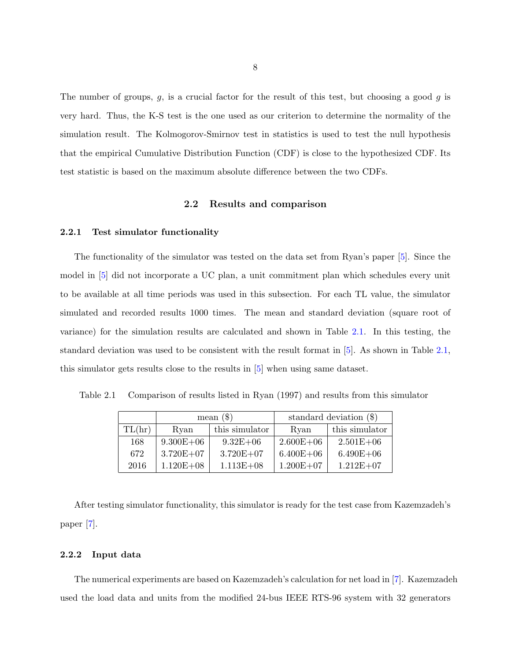<span id="page-13-0"></span>The number of groups,  $g$ , is a crucial factor for the result of this test, but choosing a good  $g$  is very hard. Thus, the K-S test is the one used as our criterion to determine the normality of the simulation result. The Kolmogorov-Smirnov test in statistics is used to test the null hypothesis that the empirical Cumulative Distribution Function (CDF) is close to the hypothesized CDF. Its test statistic is based on the maximum absolute difference between the two CDFs.

## 2.2 Results and comparison

### 2.2.1 Test simulator functionality

The functionality of the simulator was tested on the data set from Ryan's paper [\[5\]](#page-45-0). Since the model in [\[5\]](#page-45-0) did not incorporate a UC plan, a unit commitment plan which schedules every unit to be available at all time periods was used in this subsection. For each TL value, the simulator simulated and recorded results 1000 times. The mean and standard deviation (square root of variance) for the simulation results are calculated and shown in Table 2.1. In this testing, the standard deviation was used to be consistent with the result format in [\[5\]](#page-45-0). As shown in Table 2.1, this simulator gets results close to the results in [\[5\]](#page-45-0) when using same dataset.

|  | Table 2.1 Comparison of results listed in Ryan (1997) and results from this simulator |  |  |  |  |  |  |  |  |  |
|--|---------------------------------------------------------------------------------------|--|--|--|--|--|--|--|--|--|
|--|---------------------------------------------------------------------------------------|--|--|--|--|--|--|--|--|--|

|        |               | mean $(\$)$    | standard deviation $(\$)$ |                |  |
|--------|---------------|----------------|---------------------------|----------------|--|
| TL(hr) | Ryan          | this simulator | Ryan                      | this simulator |  |
| 168    | $9.300E + 06$ | $9.32E + 06$   | $2.600E + 06$             | $2.501E + 06$  |  |
| 672    | $3.720E + 07$ | $3.720E + 07$  | $6.400E + 06$             | $6.490E + 06$  |  |
| 2016   | $1.120E + 08$ | $1.113E + 08$  | $1.200E + 07$             | $1.212E + 07$  |  |

After testing simulator functionality, this simulator is ready for the test case from Kazemzadeh's paper [\[7\]](#page-45-0).

# 2.2.2 Input data

The numerical experiments are based on Kazemzadeh's calculation for net load in [\[7\]](#page-45-0). Kazemzadeh used the load data and units from the modified 24-bus IEEE RTS-96 system with 32 generators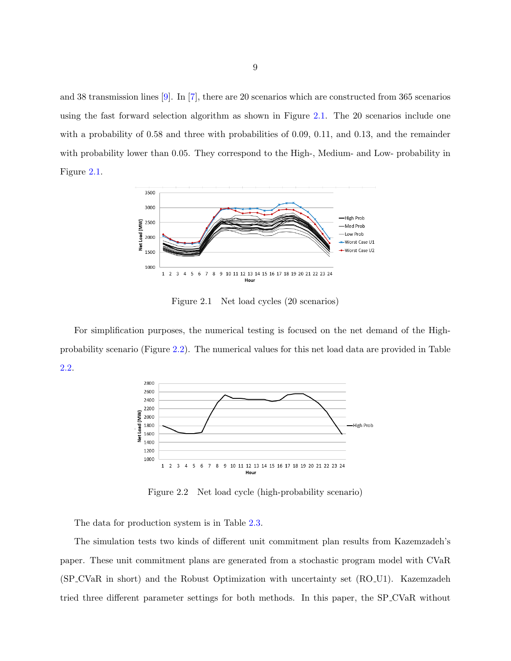<span id="page-14-0"></span>and 38 transmission lines [\[9\]](#page-45-0). In [\[7\]](#page-45-0), there are 20 scenarios which are constructed from 365 scenarios using the fast forward selection algorithm as shown in Figure 2.1. The 20 scenarios include one with a probability of 0.58 and three with probabilities of 0.09, 0.11, and 0.13, and the remainder with probability lower than 0.05. They correspond to the High-, Medium- and Low- probability in Figure 2.1.



Figure 2.1 Net load cycles (20 scenarios)

For simplification purposes, the numerical testing is focused on the net demand of the Highprobability scenario (Figure 2.2). The numerical values for this net load data are provided in Table [2.2.](#page-15-0)



Figure 2.2 Net load cycle (high-probability scenario)

The data for production system is in Table [2.3.](#page-21-0)

The simulation tests two kinds of different unit commitment plan results from Kazemzadeh's paper. These unit commitment plans are generated from a stochastic program model with CVaR (SP CVaR in short) and the Robust Optimization with uncertainty set (RO U1). Kazemzadeh tried three different parameter settings for both methods. In this paper, the SP CVaR without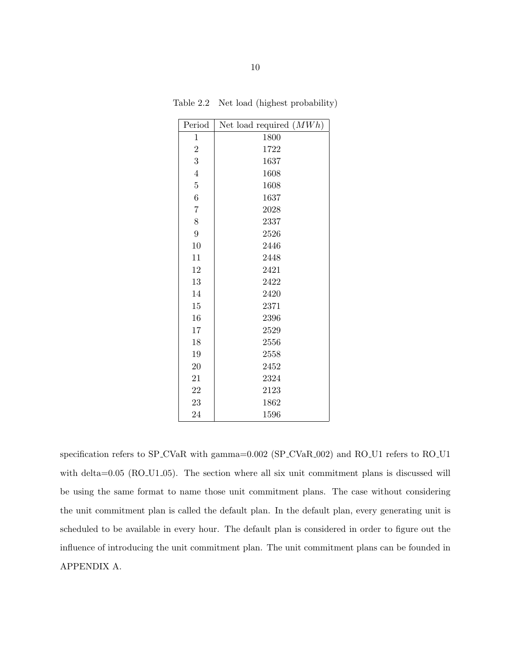| Period           | Net load required $(MWh)$ |
|------------------|---------------------------|
| $\mathbf 1$      | 1800                      |
| $\overline{2}$   | 1722                      |
| 3                | 1637                      |
| $\overline{4}$   | 1608                      |
| $\bf 5$          | 1608                      |
| $\boldsymbol{6}$ | 1637                      |
| $\overline{7}$   | 2028                      |
| 8                | 2337                      |
| $\overline{9}$   | 2526                      |
| 10               | 2446                      |
| 11               | 2448                      |
| 12               | 2421                      |
| 13               | 2422                      |
| 14               | 2420                      |
| 15               | 2371                      |
| 16               | 2396                      |
| 17               | 2529                      |
| 18               | 2556                      |
| 19               | 2558                      |
| 20               | 2452                      |
| 21               | 2324                      |
| 22               | 2123                      |
| 23               | 1862                      |
| 24               | 1596                      |

<span id="page-15-0"></span>Table 2.2 Net load (highest probability)

specification refers to SP\_CVaR with gamma=0.002 (SP\_CVaR\_002) and RO\_U1 refers to RO\_U1 with delta=0.05 (RO\_U1\_05). The section where all six unit commitment plans is discussed will be using the same format to name those unit commitment plans. The case without considering the unit commitment plan is called the default plan. In the default plan, every generating unit is scheduled to be available in every hour. The default plan is considered in order to figure out the influence of introducing the unit commitment plan. The unit commitment plans can be founded in APPENDIX A.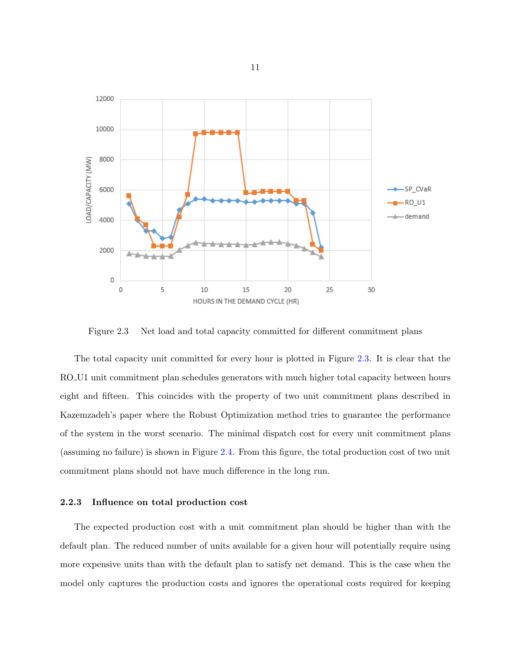<span id="page-16-0"></span>

Figure 2.3 Net load and total capacity committed for different commitment plans

The total capacity unit committed for every hour is plotted in Figure 2.3. It is clear that the RO U1 unit commitment plan schedules generators with much higher total capacity between hours eight and fifteen. This coincides with the property of two unit commitment plans described in Kazemzadeh's paper where the Robust Optimization method tries to guarantee the performance of the system in the worst scenario. The minimal dispatch cost for every unit commitment plans (assuming no failure) is shown in Figure [2.4.](#page-17-0) From this figure, the total production cost of two unit commitment plans should not have much difference in the long run.

## 2.2.3 Influence on total production cost

The expected production cost with a unit commitment plan should be higher than with the default plan. The reduced number of units available for a given hour will potentially require using more expensive units than with the default plan to satisfy net demand. This is the case when the model only captures the production costs and ignores the operational costs required for keeping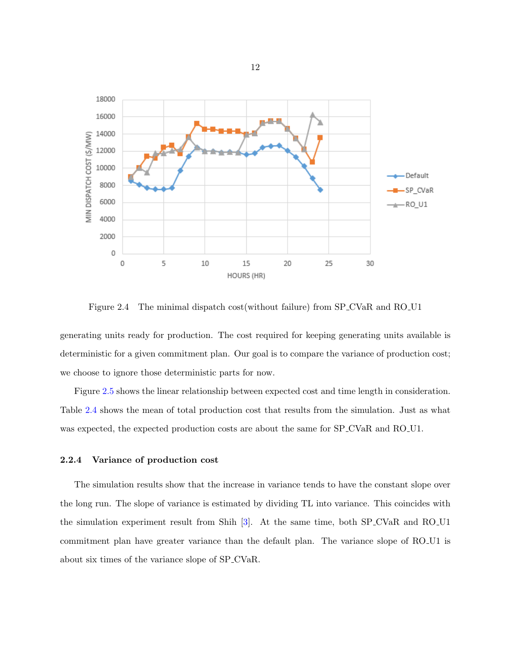<span id="page-17-0"></span>

Figure 2.4 The minimal dispatch cost (without failure) from SP\_CVaR and RO\_U1

generating units ready for production. The cost required for keeping generating units available is deterministic for a given commitment plan. Our goal is to compare the variance of production cost; we choose to ignore those deterministic parts for now.

Figure [2.5](#page-18-0) shows the linear relationship between expected cost and time length in consideration. Table [2.4](#page-22-0) shows the mean of total production cost that results from the simulation. Just as what was expected, the expected production costs are about the same for  $SP_CVaR$  and  $RO_U1$ .

### 2.2.4 Variance of production cost

The simulation results show that the increase in variance tends to have the constant slope over the long run. The slope of variance is estimated by dividing TL into variance. This coincides with the simulation experiment result from Shih [\[3\]](#page-45-0). At the same time, both SP CVaR and RO U1 commitment plan have greater variance than the default plan. The variance slope of RO U1 is about six times of the variance slope of SP CVaR.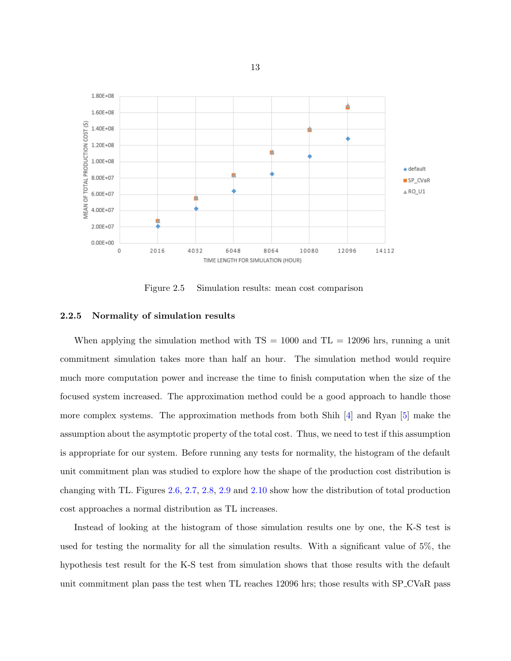<span id="page-18-0"></span>

Figure 2.5 Simulation results: mean cost comparison

## 2.2.5 Normality of simulation results

When applying the simulation method with  $TS = 1000$  and  $TL = 12096$  hrs, running a unit commitment simulation takes more than half an hour. The simulation method would require much more computation power and increase the time to finish computation when the size of the focused system increased. The approximation method could be a good approach to handle those more complex systems. The approximation methods from both Shih  $[4]$  and Ryan  $[5]$  make the assumption about the asymptotic property of the total cost. Thus, we need to test if this assumption is appropriate for our system. Before running any tests for normality, the histogram of the default unit commitment plan was studied to explore how the shape of the production cost distribution is changing with TL. Figures [2.6,](#page-19-0) [2.7,](#page-20-0) [2.8,](#page-23-0) [2.9](#page-24-0) and [2.10](#page-25-0) show how the distribution of total production cost approaches a normal distribution as TL increases.

Instead of looking at the histogram of those simulation results one by one, the K-S test is used for testing the normality for all the simulation results. With a significant value of 5%, the hypothesis test result for the K-S test from simulation shows that those results with the default unit commitment plan pass the test when TL reaches 12096 hrs; those results with SP CVaR pass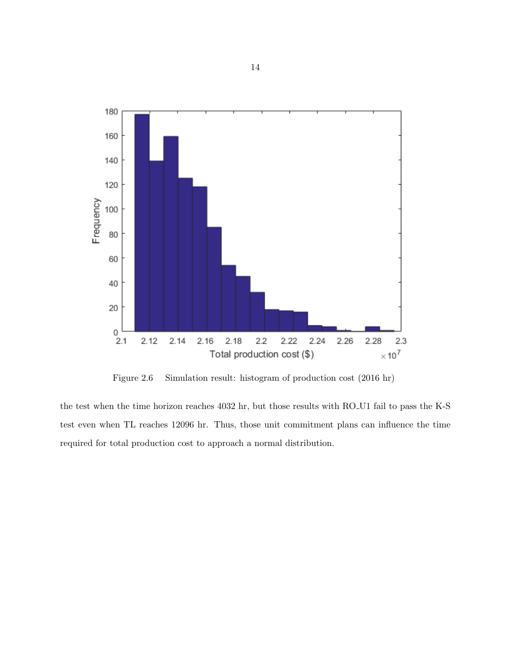<span id="page-19-0"></span>

Figure 2.6 Simulation result: histogram of production cost (2016 hr)

the test when the time horizon reaches 4032 hr, but those results with RO U1 fail to pass the K-S test even when TL reaches 12096 hr. Thus, those unit commitment plans can influence the time required for total production cost to approach a normal distribution.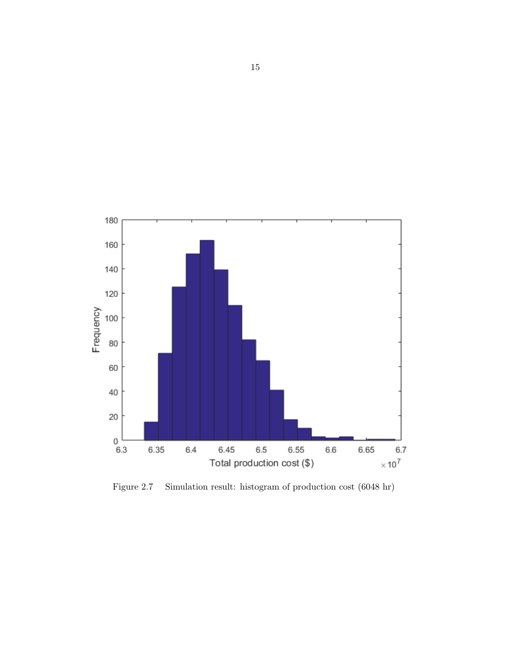<span id="page-20-0"></span>

Figure 2.7 Simulation result: histogram of production cost (6048 hr)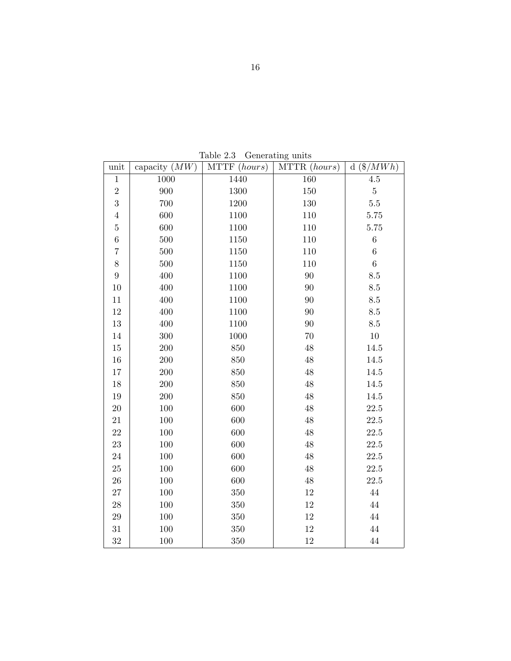<span id="page-21-0"></span>

| unit              | capacity $(MW)$ | MTTF (hours) | MTTR (hours) | $d \left( \frac{\$}{MWh} \right)$ |
|-------------------|-----------------|--------------|--------------|-----------------------------------|
| $\,1\,$           | 1000            | 1440         | 160          | $4.5\,$                           |
| $\overline{2}$    | 900             | 1300         | 150          | $\bf 5$                           |
| 3                 | 700             | 1200         | 130          | 5.5                               |
| $\,4\,$           | 600             | 1100         | 110          | 5.75                              |
| $\bf 5$           | 600             | 1100         | 110          | 5.75                              |
| $\,6$             | 500             | 1150         | 110          | $\,6$                             |
| 7                 | 500             | 1150         | 110          | $\overline{6}$                    |
| 8                 | 500             | 1150         | 110          | $\overline{6}$                    |
| 9                 | 400             | 1100         | 90           | 8.5                               |
| $10\,$            | 400             | 1100         | 90           | 8.5                               |
| 11                | 400             | 1100         | 90           | $8.5\,$                           |
| $12\,$            | 400             | 1100         | 90           | $8.5\,$                           |
| $13\,$            | 400             | 1100         | 90           | 8.5                               |
| $14\,$            | 300             | 1000         | 70           | $10\,$                            |
| $15\,$            | 200             | 850          | 48           | 14.5                              |
| $16\,$            | $200\,$         | 850          | 48           | 14.5                              |
| $17\,$            | 200             | 850          | 48           | 14.5                              |
| 18                | $200\,$         | 850          | 48           | 14.5                              |
| $19\,$            | 200             | 850          | 48           | 14.5                              |
| $20\,$            | 100             | 600          | 48           | 22.5                              |
| $21\,$            | 100             | 600          | 48           | 22.5                              |
| $22\,$            | 100             | 600          | 48           | 22.5                              |
| $23\,$            | 100             | 600          | 48           | $22.5\,$                          |
| $24\,$            | 100             | 600          | 48           | $22.5\,$                          |
| $25\,$            | 100             | 600          | 48           | $22.5\,$                          |
| $26\,$            | 100             | 600          | 48           | 22.5                              |
| $27\,$            | 100             | 350          | 12           | 44                                |
| $\ensuremath{28}$ | 100             | $350\,$      | $12\,$       | 44                                |
| $\,29$            | 100             | 350          | 12           | $44\,$                            |
| 31                | 100             | 350          | 12           | 44                                |
| $32\,$            | 100             | 350          | 12           | 44                                |

Table 2.3 Generating units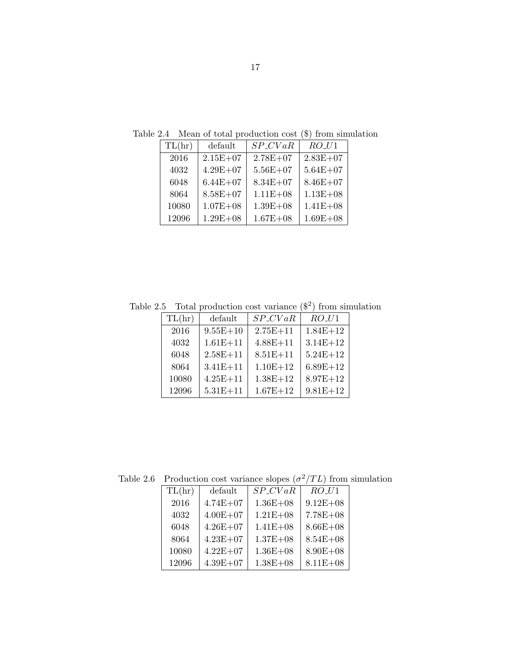| TL(hr) | default      | $SP_CVaR$    | $RO$ <sub>-<math>U</math>1</sub> |
|--------|--------------|--------------|----------------------------------|
| 2016   | $2.15E + 07$ | $2.78E + 07$ | $2.83E + 07$                     |
| 4032   | $4.29E + 07$ | $5.56E + 07$ | $5.64E + 07$                     |
| 6048   | $6.44E + 07$ | $8.34E + 07$ | $8.46E + 07$                     |
| 8064   | $8.58E + 07$ | $1.11E + 08$ | $1.13E + 08$                     |
| 10080  | $1.07E + 08$ | $1.39E + 08$ | $1.41E + 08$                     |
| 12096  | $1.29E + 08$ | $1.67E + 08$ | $1.69E + 08$                     |

<span id="page-22-0"></span>Table 2.4 Mean of total production cost (\$) from simulation

Table 2.5 Total production cost variance  $(\$^2)$  from simulation

| TL(hr) | default      | $SP_CVaR$    | $RO$ <sub>-<math>U</math>1</sub> |
|--------|--------------|--------------|----------------------------------|
| 2016   | $9.55E + 10$ | $2.75E + 11$ | $1.84E + 12$                     |
| 4032   | $1.61E + 11$ | $4.88E + 11$ | $3.14E + 12$                     |
| 6048   | $2.58E + 11$ | $8.51E + 11$ | $5.24E + 12$                     |
| 8064   | $3.41E + 11$ | $1.10E + 12$ | $6.89E + 12$                     |
| 10080  | $4.25E + 11$ | $1.38E + 12$ | $8.97E + 12$                     |
| 12096  | $5.31E + 11$ | $1.67E + 12$ | $9.81E + 12$                     |

Table 2.6 Production cost variance slopes  $(\sigma^2/TL)$  from simulation

| TL(hr) | default      | $SP_CVaR$    | $RO_U1$      |
|--------|--------------|--------------|--------------|
| 2016   | $4.74E + 07$ | $1.36E + 08$ | $9.12E + 08$ |
| 4032   | $4.00E + 07$ | $1.21E + 08$ | $7.78E + 08$ |
| 6048   | $4.26E + 07$ | $1.41E + 08$ | $8.66E + 08$ |
| 8064   | $4.23E + 07$ | $1.37E + 08$ | $8.54E + 08$ |
| 10080  | $4.22E + 07$ | $1.36E + 08$ | $8.90E + 08$ |
| 12096  | $4.39E + 07$ | $1.38E + 08$ | $8.11E + 08$ |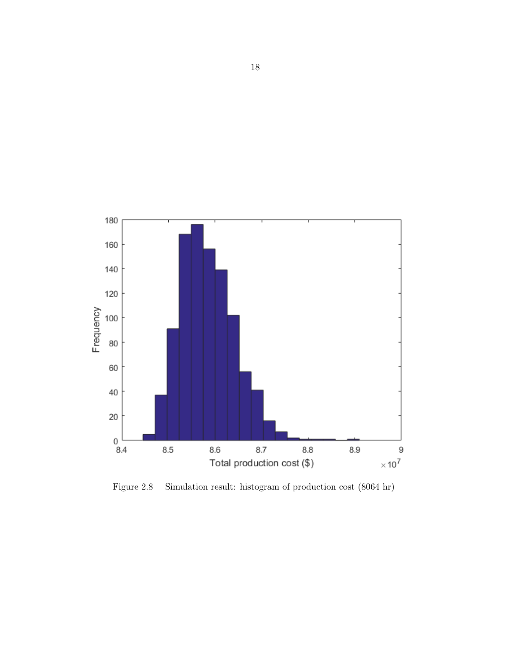<span id="page-23-0"></span>

Figure 2.8 Simulation result: histogram of production cost (8064 hr)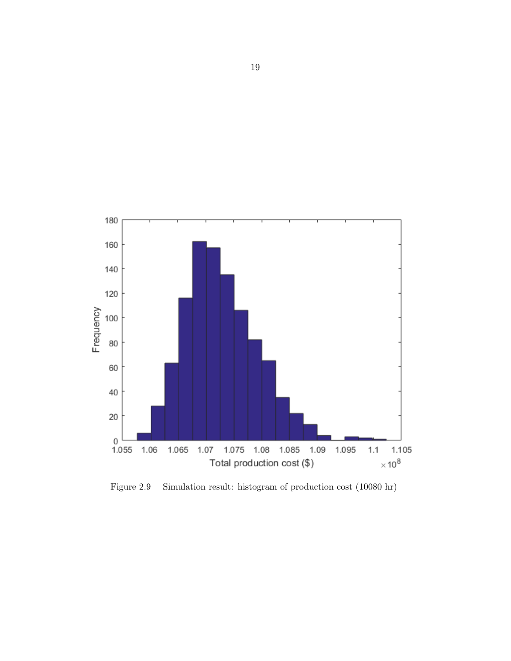<span id="page-24-0"></span>

Figure 2.9 Simulation result: histogram of production cost (10080 hr)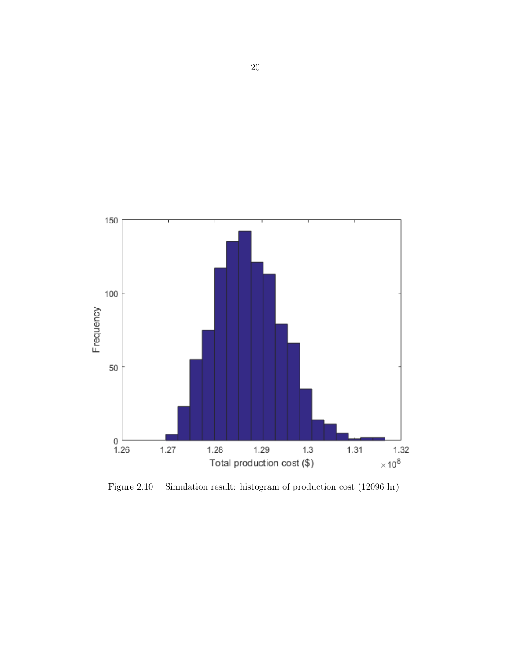<span id="page-25-0"></span>

Figure 2.10 Simulation result: histogram of production cost (12096 hr)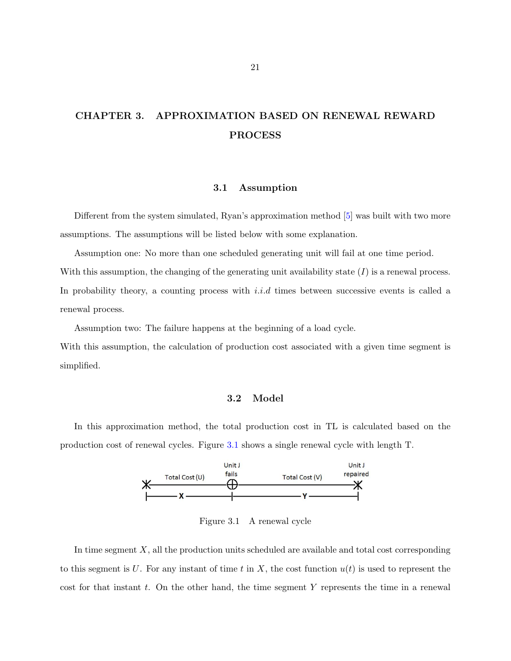# <span id="page-26-0"></span>CHAPTER 3. APPROXIMATION BASED ON RENEWAL REWARD PROCESS

# 3.1 Assumption

Different from the system simulated, Ryan's approximation method [\[5\]](#page-45-0) was built with two more assumptions. The assumptions will be listed below with some explanation.

Assumption one: No more than one scheduled generating unit will fail at one time period. With this assumption, the changing of the generating unit availability state  $(I)$  is a renewal process. In probability theory, a counting process with  $i.i.d$  times between successive events is called a renewal process.

Assumption two: The failure happens at the beginning of a load cycle.

With this assumption, the calculation of production cost associated with a given time segment is simplified.

### 3.2 Model

In this approximation method, the total production cost in TL is calculated based on the production cost of renewal cycles. Figure 3.1 shows a single renewal cycle with length T.



Figure 3.1 A renewal cycle

In time segment  $X$ , all the production units scheduled are available and total cost corresponding to this segment is U. For any instant of time t in X, the cost function  $u(t)$  is used to represent the cost for that instant  $t$ . On the other hand, the time segment  $Y$  represents the time in a renewal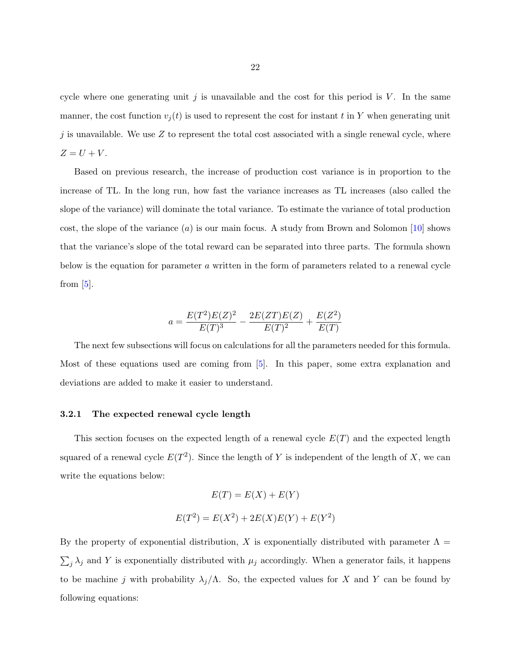<span id="page-27-0"></span>cycle where one generating unit  $j$  is unavailable and the cost for this period is  $V$ . In the same manner, the cost function  $v_i(t)$  is used to represent the cost for instant t in Y when generating unit j is unavailable. We use  $Z$  to represent the total cost associated with a single renewal cycle, where  $Z = U + V.$ 

Based on previous research, the increase of production cost variance is in proportion to the increase of TL. In the long run, how fast the variance increases as TL increases (also called the slope of the variance) will dominate the total variance. To estimate the variance of total production cost, the slope of the variance  $(a)$  is our main focus. A study from Brown and Solomon [\[10\]](#page-46-0) shows that the variance's slope of the total reward can be separated into three parts. The formula shown below is the equation for parameter a written in the form of parameters related to a renewal cycle from  $[5]$ .

$$
a = \frac{E(T^2)E(Z)^2}{E(T)^3} - \frac{2E(ZT)E(Z)}{E(T)^2} + \frac{E(Z^2)}{E(T)}
$$

The next few subsections will focus on calculations for all the parameters needed for this formula. Most of these equations used are coming from [\[5\]](#page-45-0). In this paper, some extra explanation and deviations are added to make it easier to understand.

### 3.2.1 The expected renewal cycle length

This section focuses on the expected length of a renewal cycle  $E(T)$  and the expected length squared of a renewal cycle  $E(T^2)$ . Since the length of Y is independent of the length of X, we can write the equations below:

$$
E(T) = E(X) + E(Y)
$$
  

$$
E(T^{2}) = E(X^{2}) + 2E(X)E(Y) + E(Y^{2})
$$

By the property of exponential distribution, X is exponentially distributed with parameter  $\Lambda =$  $\sum_j \lambda_j$  and Y is exponentially distributed with  $\mu_j$  accordingly. When a generator fails, it happens to be machine j with probability  $\lambda_j/\Lambda$ . So, the expected values for X and Y can be found by following equations: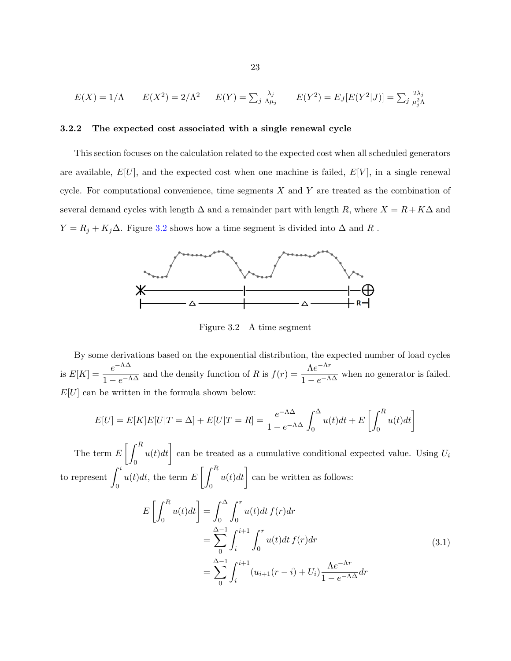<span id="page-28-0"></span>
$$
E(X) = 1/\Lambda \qquad E(X^2) = 2/\Lambda^2 \qquad E(Y) = \sum_j \frac{\lambda_j}{\Lambda \mu_j} \qquad E(Y^2) = E_J[E(Y^2|J)] = \sum_j \frac{2\lambda_j}{\mu_j^2 \Lambda}
$$

# 3.2.2 The expected cost associated with a single renewal cycle

This section focuses on the calculation related to the expected cost when all scheduled generators are available,  $E[U]$ , and the expected cost when one machine is failed,  $E[V]$ , in a single renewal cycle. For computational convenience, time segments  $X$  and  $Y$  are treated as the combination of several demand cycles with length  $\Delta$  and a remainder part with length R, where  $X = R + K\Delta$  and  $Y = R_j + K_j \Delta$ . Figure 3.2 shows how a time segment is divided into  $\Delta$  and  $R$ .



Figure 3.2 A time segment

By some derivations based on the exponential distribution, the expected number of load cycles is  $E[K] = \frac{e^{-\Lambda \Delta}}{1 - e^{-\Lambda \Delta}}$  and the density function of R is  $f(r) = \frac{\Lambda e^{-\Lambda r}}{1 - e^{-\Lambda \Delta}}$  $\frac{11}{1 - e^{-\Lambda\Delta}}$  when no generator is failed.  $E[U]$  can be written in the formula shown below:

$$
E[U] = E[K]E[U|T = \Delta] + E[U|T = R] = \frac{e^{-\Lambda\Delta}}{1 - e^{-\Lambda\Delta}} \int_0^{\Delta} u(t)dt + E\left[\int_0^R u(t)dt\right]
$$

The term  $E\left[\int^R$ 0  $u(t)dt$  can be treated as a cumulative conditional expected value. Using  $U_i$ to represent  $\int_0^i$ 0  $u(t)dt$ , the term  $E\left[\int^R$ 0  $u(t)dt$  can be written as follows:

$$
E\left[\int_{0}^{R} u(t)dt\right] = \int_{0}^{\Delta} \int_{0}^{r} u(t)dt f(r)dr
$$
  
= 
$$
\sum_{0}^{\Delta-1} \int_{i}^{i+1} \int_{0}^{r} u(t)dt f(r)dr
$$
  
= 
$$
\sum_{0}^{\Delta-1} \int_{i}^{i+1} (u_{i+1}(r-i) + U_{i}) \frac{\Lambda e^{-\Lambda r}}{1 - e^{-\Lambda \Delta}} dr
$$
 (3.1)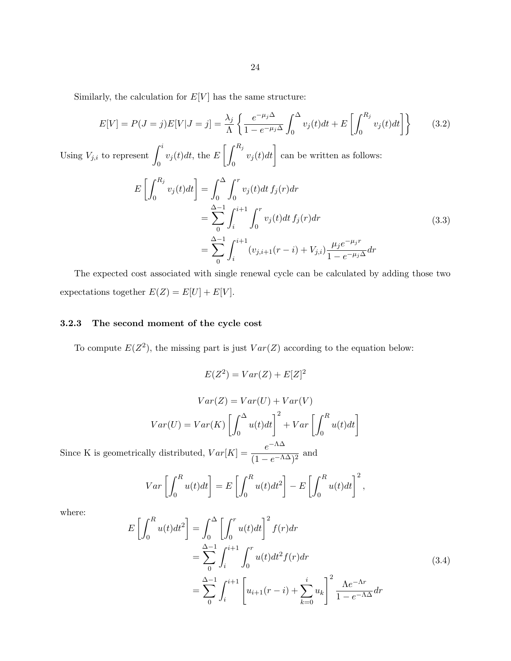<span id="page-29-0"></span>Similarly, the calculation for  $E[V]$  has the same structure:

$$
E[V] = P(J = j)E[V|J = j] = \frac{\lambda_j}{\Lambda} \left\{ \frac{e^{-\mu_j \Delta}}{1 - e^{-\mu_j \Delta}} \int_0^{\Delta} v_j(t)dt + E\left[\int_0^{R_j} v_j(t)dt\right] \right\}
$$
(3.2)

Using  $V_{j,i}$  to represent  $\int_i^i$ 0  $v_j(t)dt$ , the  $E\left[\int^{R_j}$ 0  $v_j(t)dt$  can be written as follows:

$$
E\left[\int_{0}^{R_{j}} v_{j}(t)dt\right] = \int_{0}^{\Delta} \int_{0}^{r} v_{j}(t)dt f_{j}(r)dr
$$
  
\n
$$
= \sum_{0}^{\Delta-1} \int_{i}^{i+1} \int_{0}^{r} v_{j}(t)dt f_{j}(r)dr
$$
  
\n
$$
= \sum_{0}^{\Delta-1} \int_{i}^{i+1} (v_{j,i+1}(r-i) + V_{j,i}) \frac{\mu_{j}e^{-\mu_{j}r}}{1 - e^{-\mu_{j}\Delta}} dr
$$
\n(3.3)

The expected cost associated with single renewal cycle can be calculated by adding those two expectations together  $E(Z) = E[U] + E[V]$ .

# 3.2.3 The second moment of the cycle cost

To compute  $E(Z^2)$ , the missing part is just  $Var(Z)$  according to the equation below:

$$
E(Z^2) = Var(Z) + E[Z]^2
$$

$$
Var(Z) = Var(U) + Var(V)
$$

$$
Var(U) = Var(K) \left[ \int_0^{\Delta} u(t)dt \right]^2 + Var \left[ \int_0^R u(t)dt \right]
$$

Since K is geometrically distributed,  $Var[K] = \frac{e^{-\Lambda \Delta}}{4}$  $\frac{c}{(1 - e^{-\Lambda \Delta})^2}$  and

$$
Var\left[\int_0^R u(t)dt\right] = E\left[\int_0^R u(t)dt^2\right] - E\left[\int_0^R u(t)dt\right]^2,
$$

where:

$$
E\left[\int_{0}^{R} u(t)dt^{2}\right] = \int_{0}^{\Delta} \left[\int_{0}^{r} u(t)dt\right]^{2} f(r) dr
$$
  
=  $\sum_{0}^{\Delta-1} \int_{i}^{i+1} \int_{0}^{r} u(t)dt^{2} f(r) dr$   
=  $\sum_{0}^{\Delta-1} \int_{i}^{i+1} \left[u_{i+1}(r-i) + \sum_{k=0}^{i} u_{k}\right]^{2} \frac{\Lambda e^{-\Lambda r}}{1 - e^{-\Lambda \Delta}} dr$  (3.4)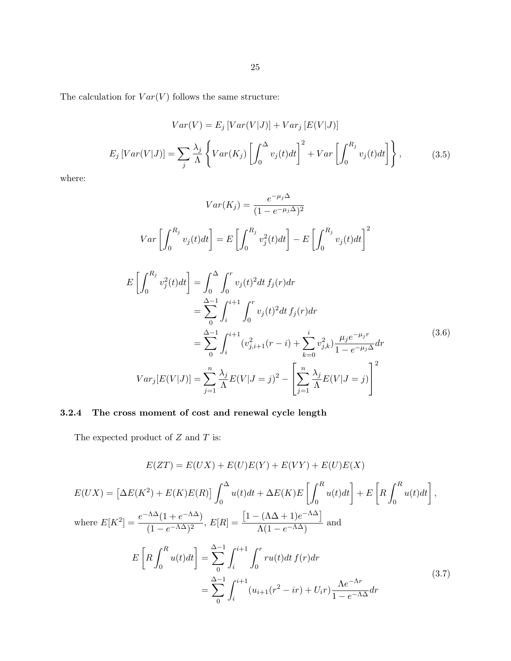<span id="page-30-0"></span>The calculation for  $Var(V)$  follows the same structure:

$$
Var(V) = E_j \left[ Var(V|J) \right] + Var_j \left[ E(V|J) \right]
$$

$$
E_j \left[ Var(V|J) \right] = \sum_j \frac{\lambda_j}{\Lambda} \left\{ Var(K_j) \left[ \int_0^{\Delta} v_j(t) dt \right]^2 + Var \left[ \int_0^{R_j} v_j(t) dt \right] \right\}, \tag{3.5}
$$

where:

$$
Var(K_j) = \frac{e^{-\mu_j \Delta}}{(1 - e^{-\mu_j \Delta})^2}
$$
  
\n
$$
Var\left[\int_0^{R_j} v_j(t)dt\right] = E\left[\int_0^{R_j} v_j^2(t)dt\right] - E\left[\int_0^{R_j} v_j(t)dt\right]^2
$$
  
\n
$$
E\left[\int_0^{R_j} v_j^2(t)dt\right] = \int_0^{\Delta} \int_0^r v_j(t)^2 dt f_j(r) dr
$$
  
\n
$$
= \sum_{j=1}^{\Delta-1} \int_i^{i+1} \int_0^r v_j(t)^2 dt f_j(r) dr
$$
  
\n
$$
= \sum_{j=1}^{\Delta-1} \int_i^{i+1} (v_{j,i+1}^2(r-i) + \sum_{k=0}^i v_{j,k}^2) \frac{\mu_j e^{-\mu_j r}}{1 - e^{-\mu_j \Delta}} dr
$$
  
\n
$$
Var_j[E(V|J)] = \sum_{j=1}^n \frac{\lambda_j}{\Lambda} E(V|J=j)^2 - \left[\sum_{j=1}^n \frac{\lambda_j}{\Lambda} E(V|J=j)\right]^2
$$
 (3.6)

# 3.2.4 The cross moment of cost and renewal cycle length

The expected product of  $Z$  and  $T$  is:

$$
E(ZT) = E(UX) + E(U)E(Y) + E(VY) + E(U)E(X)
$$
  
\n
$$
E(UX) = \left[\Delta E(K^2) + E(K)E(R)\right] \int_0^{\Delta} u(t)dt + \Delta E(K)E\left[\int_0^R u(t)dt\right] + E\left[R\int_0^R u(t)dt\right],
$$
  
\nwhere  $E[K^2] = \frac{e^{-\Lambda\Delta}(1 + e^{-\Lambda\Delta})}{(1 - e^{-\Lambda\Delta})^2}, E[R] = \frac{\left[1 - (\Lambda\Delta + 1)e^{-\Lambda\Delta}\right]}{\Lambda(1 - e^{-\Lambda\Delta})}$  and  
\n
$$
E\left[R\int_0^R u(t)dt\right] = \sum_{0}^{\Delta-1} \int_i^{i+1} \int_0^r ru(t)dt f(r)dr
$$
  
\n
$$
= \sum_{0}^{\Delta-1} \int_i^{i+1} (u_{i+1}(r^2 - ir) + U_i r) \frac{\Lambda e^{-\Lambda r}}{1 - e^{-\Lambda\Delta}} dr
$$
\n(3.7)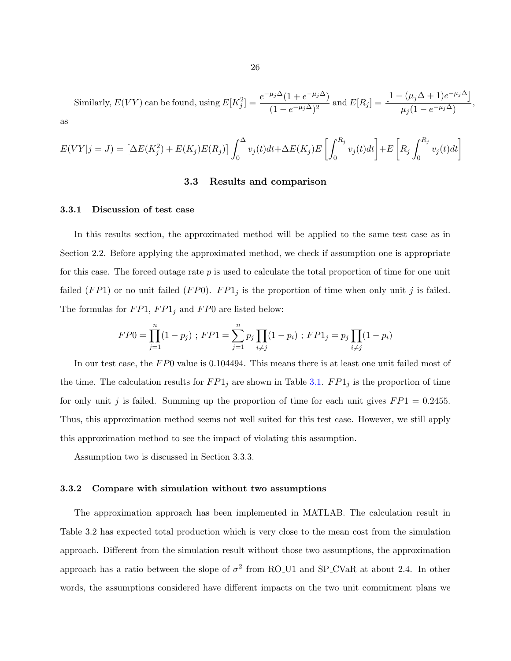<span id="page-31-0"></span>Similarly,  $E(VY)$  can be found, using  $E[K_j^2] = \frac{e^{-\mu_j \Delta}(1 + e^{-\mu_j \Delta})}{(1 - e^{-\mu_j \Delta})^2}$  $\frac{(1-e^{-\mu_j\Delta})^2}{(1-e^{-\mu_j\Delta})^2}$  and  $E[R_j]=$  $\left[1 - (\mu_j \Delta + 1)e^{-\mu_j \Delta}\right]$  $\frac{\mu_j(1-e^{-\mu_j\Delta})}{\mu_j(1-e^{-\mu_j\Delta})},$ as

$$
E(VY|j = J) = \left[\Delta E(K_j^2) + E(K_j)E(R_j)\right] \int_0^{\Delta} v_j(t)dt + \Delta E(K_j)E\left[\int_0^{R_j} v_j(t)dt\right] + E\left[R_j \int_0^{R_j} v_j(t)dt\right]
$$

### 3.3 Results and comparison

### 3.3.1 Discussion of test case

In this results section, the approximated method will be applied to the same test case as in Section 2.2. Before applying the approximated method, we check if assumption one is appropriate for this case. The forced outage rate  $p$  is used to calculate the total proportion of time for one unit failed  $(FP1)$  or no unit failed  $(FP0)$ .  $FP1<sub>j</sub>$  is the proportion of time when only unit j is failed. The formulas for  $FP1, FP1_j$  and  $FP0$  are listed below:

$$
FP0 = \prod_{j=1}^{n} (1 - p_j) ; FP1 = \sum_{j=1}^{n} p_j \prod_{i \neq j} (1 - p_i) ; FP1_j = p_j \prod_{i \neq j} (1 - p_i)
$$

In our test case, the FP0 value is 0.104494. This means there is at least one unit failed most of the time. The calculation results for  $FP1_j$  are shown in Table [3.1.](#page-35-0)  $FP1_j$  is the proportion of time for only unit j is failed. Summing up the proportion of time for each unit gives  $FP1 = 0.2455$ . Thus, this approximation method seems not well suited for this test case. However, we still apply this approximation method to see the impact of violating this assumption.

Assumption two is discussed in Section 3.3.3.

### 3.3.2 Compare with simulation without two assumptions

The approximation approach has been implemented in MATLAB. The calculation result in Table 3.2 has expected total production which is very close to the mean cost from the simulation approach. Different from the simulation result without those two assumptions, the approximation approach has a ratio between the slope of  $\sigma^2$  from RO\_U1 and SP\_CVaR at about 2.4. In other words, the assumptions considered have different impacts on the two unit commitment plans we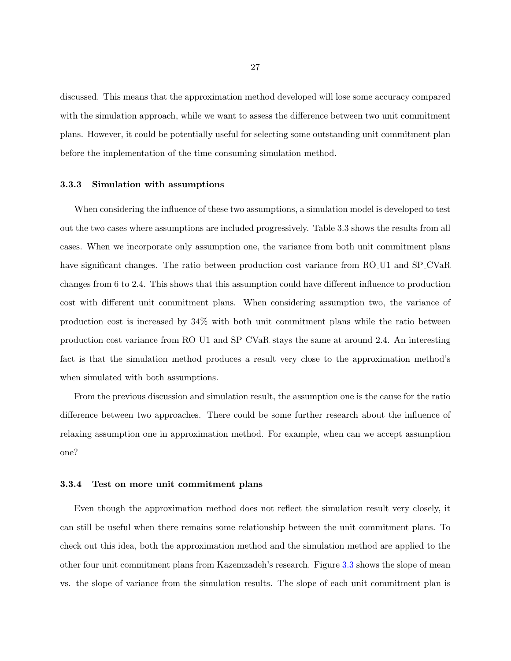<span id="page-32-0"></span>discussed. This means that the approximation method developed will lose some accuracy compared with the simulation approach, while we want to assess the difference between two unit commitment plans. However, it could be potentially useful for selecting some outstanding unit commitment plan before the implementation of the time consuming simulation method.

### 3.3.3 Simulation with assumptions

When considering the influence of these two assumptions, a simulation model is developed to test out the two cases where assumptions are included progressively. Table 3.3 shows the results from all cases. When we incorporate only assumption one, the variance from both unit commitment plans have significant changes. The ratio between production cost variance from RO U1 and SP CVaR changes from 6 to 2.4. This shows that this assumption could have different influence to production cost with different unit commitment plans. When considering assumption two, the variance of production cost is increased by 34% with both unit commitment plans while the ratio between production cost variance from RO U1 and SP CVaR stays the same at around 2.4. An interesting fact is that the simulation method produces a result very close to the approximation method's when simulated with both assumptions.

From the previous discussion and simulation result, the assumption one is the cause for the ratio difference between two approaches. There could be some further research about the influence of relaxing assumption one in approximation method. For example, when can we accept assumption one?

### 3.3.4 Test on more unit commitment plans

Even though the approximation method does not reflect the simulation result very closely, it can still be useful when there remains some relationship between the unit commitment plans. To check out this idea, both the approximation method and the simulation method are applied to the other four unit commitment plans from Kazemzadeh's research. Figure [3.3](#page-33-0) shows the slope of mean vs. the slope of variance from the simulation results. The slope of each unit commitment plan is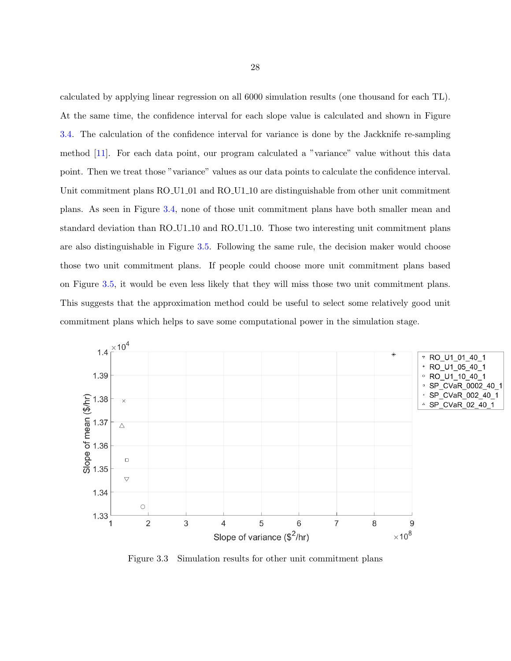<span id="page-33-0"></span>calculated by applying linear regression on all 6000 simulation results (one thousand for each TL). At the same time, the confidence interval for each slope value is calculated and shown in Figure [3.4.](#page-34-0) The calculation of the confidence interval for variance is done by the Jackknife re-sampling method [\[11\]](#page-46-0). For each data point, our program calculated a "variance" value without this data point. Then we treat those "variance" values as our data points to calculate the confidence interval. Unit commitment plans RO U1 01 and RO U1 10 are distinguishable from other unit commitment plans. As seen in Figure [3.4,](#page-34-0) none of those unit commitment plans have both smaller mean and standard deviation than RO U1.10 and RO U1.10. Those two interesting unit commitment plans are also distinguishable in Figure [3.5.](#page-34-0) Following the same rule, the decision maker would choose those two unit commitment plans. If people could choose more unit commitment plans based on Figure [3.5,](#page-34-0) it would be even less likely that they will miss those two unit commitment plans. This suggests that the approximation method could be useful to select some relatively good unit commitment plans which helps to save some computational power in the simulation stage.



Figure 3.3 Simulation results for other unit commitment plans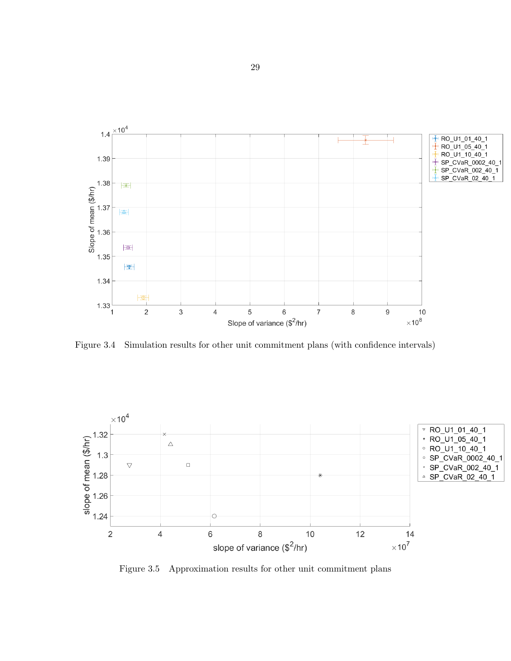<span id="page-34-0"></span>

Figure 3.4 Simulation results for other unit commitment plans (with confidence intervals)



Figure 3.5 Approximation results for other unit commitment plans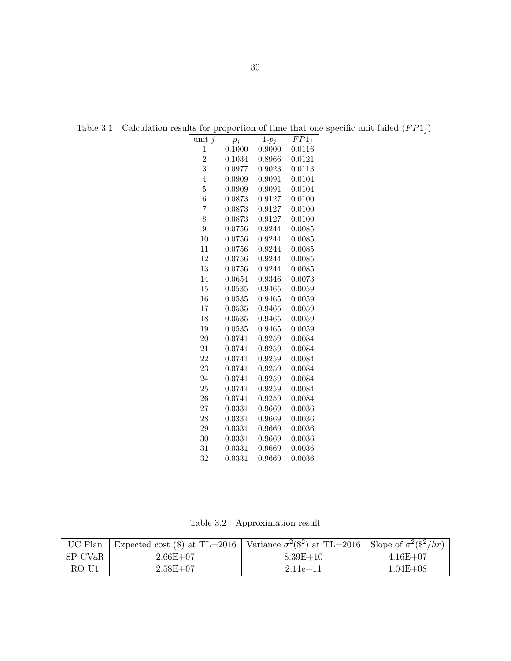| unit $j$       | $p_i$  | $1-p_j$ | $FP1_i$ |
|----------------|--------|---------|---------|
| 1              | 0.1000 | 0.9000  | 0.0116  |
| $\overline{2}$ | 0.1034 | 0.8966  | 0.0121  |
| 3              | 0.0977 | 0.9023  | 0.0113  |
| $\overline{4}$ | 0.0909 | 0.9091  | 0.0104  |
| $\overline{5}$ | 0.0909 | 0.9091  | 0.0104  |
| 6              | 0.0873 | 0.9127  | 0.0100  |
| $\overline{7}$ | 0.0873 | 0.9127  | 0.0100  |
| 8              | 0.0873 | 0.9127  | 0.0100  |
| 9              | 0.0756 | 0.9244  | 0.0085  |
| 10             | 0.0756 | 0.9244  | 0.0085  |
| 11             | 0.0756 | 0.9244  | 0.0085  |
| 12             | 0.0756 | 0.9244  | 0.0085  |
| 13             | 0.0756 | 0.9244  | 0.0085  |
| 14             | 0.0654 | 0.9346  | 0.0073  |
| 15             | 0.0535 | 0.9465  | 0.0059  |
| 16             | 0.0535 | 0.9465  | 0.0059  |
| 17             | 0.0535 | 0.9465  | 0.0059  |
| 18             | 0.0535 | 0.9465  | 0.0059  |
| 19             | 0.0535 | 0.9465  | 0.0059  |
| 20             | 0.0741 | 0.9259  | 0.0084  |
| 21             | 0.0741 | 0.9259  | 0.0084  |
| 22             | 0.0741 | 0.9259  | 0.0084  |
| 23             | 0.0741 | 0.9259  | 0.0084  |
| 24             | 0.0741 | 0.9259  | 0.0084  |
| 25             | 0.0741 | 0.9259  | 0.0084  |
| 26             | 0.0741 | 0.9259  | 0.0084  |
| 27             | 0.0331 | 0.9669  | 0.0036  |
| 28             | 0.0331 | 0.9669  | 0.0036  |
| 29             | 0.0331 | 0.9669  | 0.0036  |
| 30             | 0.0331 | 0.9669  | 0.0036  |
| 31             | 0.0331 | 0.9669  | 0.0036  |
| 32             | 0.0331 | 0.9669  | 0.0036  |

<span id="page-35-0"></span>Table 3.1 Calculation results for proportion of time that one specific unit failed  $(FP1<sub>j</sub>)$ 

Table 3.2 Approximation result

|         | UC Plan Expected cost (\$) at TL=2016 Variance $\sigma^2$ (\$2) at TL=2016 Slope of $\sigma^2$ (\$2/hr) |              |              |
|---------|---------------------------------------------------------------------------------------------------------|--------------|--------------|
| SP_CVaR | $2.66E + 07$                                                                                            | $8.39E + 10$ | $4.16E + 07$ |
| RO U1   | $2.58E + 07$                                                                                            | $2.11e + 11$ | $1.04E + 08$ |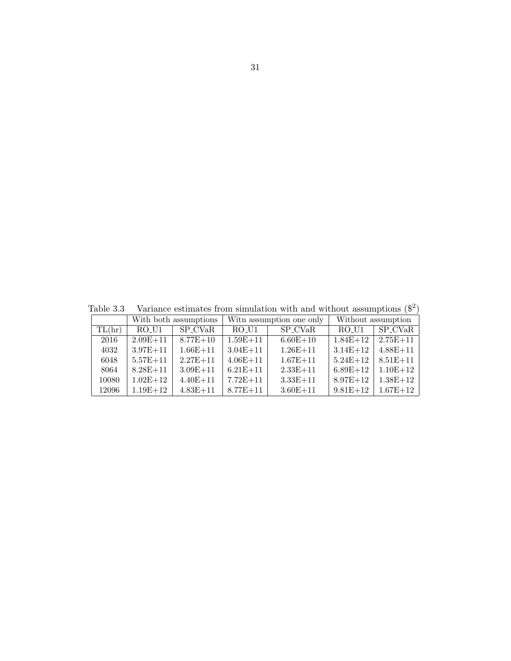<span id="page-36-0"></span>Table 3.3 Variance estimates from simulation with and without assumptions  $(\$^2)$ 

|        |              | With both assumptions |              | With assumption one only |              | Without assumption |
|--------|--------------|-----------------------|--------------|--------------------------|--------------|--------------------|
| TL(hr) | RO U1        | SP_CVaR               | RO U1        | SP_CVaR                  | RO U1        | SP CVaR            |
| 2016   | $2.09E + 11$ | $8.77E + 10$          | $1.59E + 11$ | $6.60E + 10$             | $1.84E + 12$ | $2.75E + 11$       |
| 4032   | $3.97E + 11$ | $1.66E + 11$          | $3.04E + 11$ | $1.26E + 11$             | $3.14E + 12$ | $4.88E + 11$       |
| 6048   | $5.57E + 11$ | $2.27E + 11$          | $4.06E + 11$ | $1.67E + 11$             | $5.24E + 12$ | $8.51E + 11$       |
| 8064   | $8.28E + 11$ | $3.09E + 11$          | $6.21E + 11$ | $2.33E+11$               | $6.89E + 12$ | $1.10E + 12$       |
| 10080  | $1.02E + 12$ | $4.40E + 11$          | $7.72E + 11$ | $3.33E + 11$             | $8.97E + 12$ | $1.38E + 12$       |
| 12096  | $1.19E + 12$ | $4.83E + 11$          | $8.77E + 11$ | $3.60E + 11$             | $9.81E + 12$ | $1.67E + 12$       |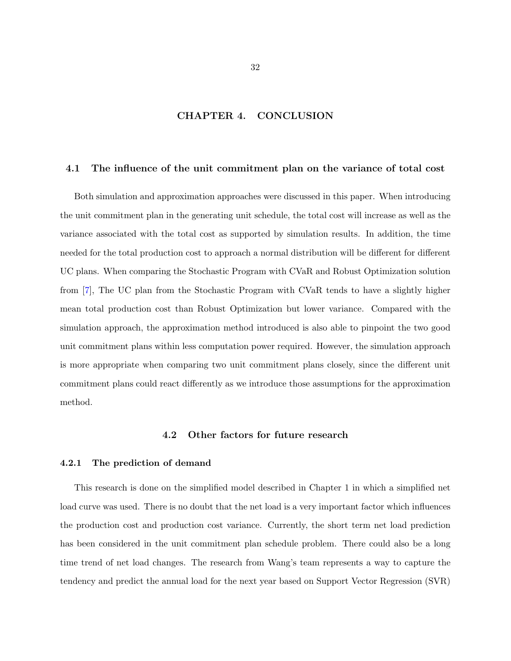# CHAPTER 4. CONCLUSION

### <span id="page-37-0"></span>4.1 The influence of the unit commitment plan on the variance of total cost

Both simulation and approximation approaches were discussed in this paper. When introducing the unit commitment plan in the generating unit schedule, the total cost will increase as well as the variance associated with the total cost as supported by simulation results. In addition, the time needed for the total production cost to approach a normal distribution will be different for different UC plans. When comparing the Stochastic Program with CVaR and Robust Optimization solution from [\[7\]](#page-45-0), The UC plan from the Stochastic Program with CVaR tends to have a slightly higher mean total production cost than Robust Optimization but lower variance. Compared with the simulation approach, the approximation method introduced is also able to pinpoint the two good unit commitment plans within less computation power required. However, the simulation approach is more appropriate when comparing two unit commitment plans closely, since the different unit commitment plans could react differently as we introduce those assumptions for the approximation method.

### 4.2 Other factors for future research

## 4.2.1 The prediction of demand

This research is done on the simplified model described in Chapter 1 in which a simplified net load curve was used. There is no doubt that the net load is a very important factor which influences the production cost and production cost variance. Currently, the short term net load prediction has been considered in the unit commitment plan schedule problem. There could also be a long time trend of net load changes. The research from Wang's team represents a way to capture the tendency and predict the annual load for the next year based on Support Vector Regression (SVR)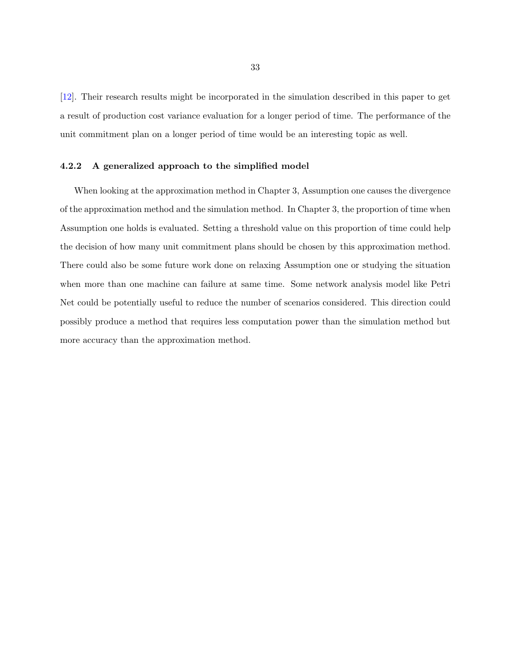<span id="page-38-0"></span>[\[12\]](#page-46-0). Their research results might be incorporated in the simulation described in this paper to get a result of production cost variance evaluation for a longer period of time. The performance of the unit commitment plan on a longer period of time would be an interesting topic as well.

## 4.2.2 A generalized approach to the simplified model

When looking at the approximation method in Chapter 3, Assumption one causes the divergence of the approximation method and the simulation method. In Chapter 3, the proportion of time when Assumption one holds is evaluated. Setting a threshold value on this proportion of time could help the decision of how many unit commitment plans should be chosen by this approximation method. There could also be some future work done on relaxing Assumption one or studying the situation when more than one machine can failure at same time. Some network analysis model like Petri Net could be potentially useful to reduce the number of scenarios considered. This direction could possibly produce a method that requires less computation power than the simulation method but more accuracy than the approximation method.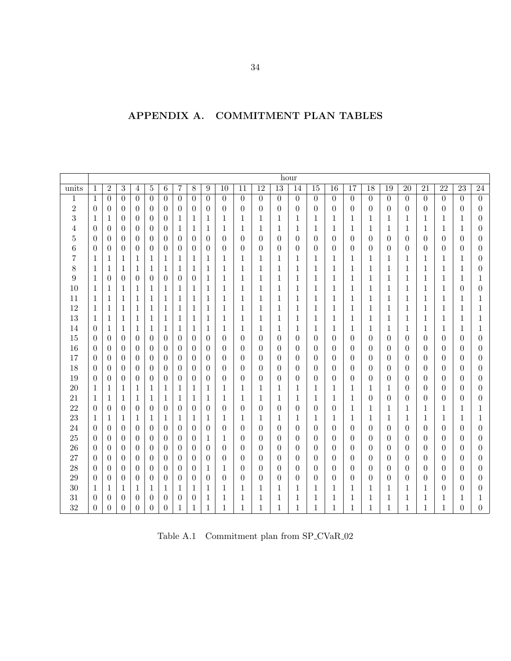<span id="page-39-0"></span>

| APPENDIX A. | <b>COMMITMENT PLAN TABLES</b> |  |
|-------------|-------------------------------|--|
|             |                               |  |

|                         |                  |                  |                  |                  |                  |                  |                  |                  |                  |                  |                |                  |                  | hour             |                  |                |                  |                  |                |                  |                  |                  |                  |                  |
|-------------------------|------------------|------------------|------------------|------------------|------------------|------------------|------------------|------------------|------------------|------------------|----------------|------------------|------------------|------------------|------------------|----------------|------------------|------------------|----------------|------------------|------------------|------------------|------------------|------------------|
| units                   | $\mathbf{1}$     | $\overline{2}$   | 3                | 4                | $\bf 5$          | $\,6\,$          | $\overline{7}$   | $8\,$            | 9                | 10               | 11             | 12               | 13               | 14               | 15               | 16             | 17               | 18               | 19             | 20               | 21               | $\overline{22}$  | $\overline{23}$  | $\overline{24}$  |
| $\mathbf{1}$            | $\mathbf{1}$     | $\overline{0}$   | $\overline{0}$   | $\overline{0}$   | $\overline{0}$   | $\overline{0}$   | $\boldsymbol{0}$ | $\theta$         | $\theta$         | $\boldsymbol{0}$ | $\overline{0}$ | $\overline{0}$   | $\overline{0}$   | $\overline{0}$   | $\overline{0}$   | $\theta$       | $\boldsymbol{0}$ | $\overline{0}$   | $\overline{0}$ | $\overline{0}$   | $\overline{0}$   | $\boldsymbol{0}$ | $\overline{0}$   | $\boldsymbol{0}$ |
| $\overline{\mathbf{c}}$ | $\overline{0}$   | $\overline{0}$   | $\theta$         | $\theta$         | $\overline{0}$   | $\theta$         | $\overline{0}$   | $\overline{0}$   | $\overline{0}$   | $\boldsymbol{0}$ | $\overline{0}$ | $\theta$         | $\overline{0}$   | $\boldsymbol{0}$ | $\overline{0}$   | $\overline{0}$ | $\overline{0}$   | $\theta$         | $\overline{0}$ | $\theta$         | $\boldsymbol{0}$ | $\theta$         | $\theta$         | $\overline{0}$   |
| 3                       | $\mathbf{1}$     | 1                | $\theta$         | $\theta$         | $\overline{0}$   | $\theta$         | 1                | $\mathbf{1}$     | 1                | 1                | 1              | 1                | 1                | 1                | 1                | 1              | 1                | 1                | $\mathbf 1$    | 1                | 1                | $\mathbf 1$      | 1                | $\theta$         |
| $\overline{4}$          | $\overline{0}$   | $\overline{0}$   | $\theta$         | $\overline{0}$   | $\overline{0}$   | $\overline{0}$   | 1                | $\mathbf{1}$     | 1                | 1                | $\mathbf 1$    | 1                | 1                | 1                | 1                | 1              | 1                | 1                | 1              | 1                | 1                | $\mathbf 1$      | 1                | $\theta$         |
| $\overline{5}$          | $\boldsymbol{0}$ | $\overline{0}$   | $\theta$         | $\theta$         | $\overline{0}$   | $\overline{0}$   | $\overline{0}$   | $\overline{0}$   | $\overline{0}$   | $\theta$         | $\theta$       | $\theta$         | $\theta$         | $\theta$         | $\theta$         | $\theta$       | $\theta$         | 0                | $\theta$       | 0                | $\boldsymbol{0}$ | $\theta$         | $\theta$         | $\theta$         |
| $\,6$                   | $\boldsymbol{0}$ | $\boldsymbol{0}$ | $\theta$         | $\overline{0}$   | $\overline{0}$   | $\overline{0}$   | $\theta$         | $\overline{0}$   | $\overline{0}$   | $\boldsymbol{0}$ | $\theta$       | $\theta$         | $\overline{0}$   | $\theta$         | $\boldsymbol{0}$ | $\theta$       | $\theta$         | 0                | $\theta$       | $\theta$         | 0                | $\theta$         | $\overline{0}$   | $\theta$         |
| 7                       | $\mathbf{1}$     | 1                | $\mathbf 1$      | 1                | 1                | 1                | 1                | 1                | $\mathbf{1}$     | 1                | 1              | 1                | 1                | 1                | 1                | 1              | 1                | 1                | 1              | 1                | 1                | $\mathbf 1$      | 1                | $\theta$         |
| $8\,$                   | $\mathbf{1}$     | $\mathbf 1$      | $\mathbf{1}$     | $\mathbf 1$      | 1                | 1                | 1                | $\mathbf{1}$     | $\mathbf 1$      | 1                | $\mathbf{1}$   | $\mathbf{1}$     | 1                | $\mathbf 1$      | $\mathbf 1$      | 1              | $\mathbf{1}$     | 1                | $\mathbf{1}$   | $\mathbf 1$      | 1                | $\mathbf 1$      | $\mathbf{1}$     | $\theta$         |
| $\boldsymbol{9}$        | $\mathbf{1}$     | $\overline{0}$   | $\boldsymbol{0}$ | $\boldsymbol{0}$ | $\boldsymbol{0}$ | $\overline{0}$   | $\boldsymbol{0}$ | $\boldsymbol{0}$ | $\mathbf{1}$     | $\mathbf{1}$     | $\mathbf 1$    | 1                | 1                | $\mathbf 1$      | $\mathbf 1$      | 1              | $\mathbf{1}$     | 1                | $\,1$          | 1                | 1                | $\mathbf 1$      | 1                | $\mathbf{1}$     |
| 10                      | 1                | 1                | 1                | $\mathbf 1$      | 1                | $\mathbf{1}$     | 1                | $\mathbf{1}$     | 1                | 1                | 1              | 1                | 1                | 1                | $\mathbf 1$      | 1              | $\mathbf 1$      | 1                | 1              | 1                | 1                | 1                | $\theta$         | $\theta$         |
| 11                      | 1                | 1                | 1                | $\mathbf 1$      | 1                | 1                | 1                | $\mathbf{1}$     | 1                | 1                | 1              | 1                | 1                | 1                | $\mathbf 1$      | 1              | 1                | 1                | 1              | 1                | 1                | 1                | 1                | 1                |
| 12                      | $\mathbf{1}$     | 1                | 1                | 1                | 1                | 1                | $\mathbf{1}$     | $\mathbf{1}$     | 1                | 1                | 1              | 1                | 1                | 1                | 1                | 1              | 1                | 1                | 1              | 1                | 1                | 1                | $\mathbf{1}$     | 1                |
| 13                      | $\mathbf{1}$     | 1                | 1                | 1                | 1                | 1                | 1                | $\mathbf{1}$     | 1                | 1                | 1              | 1                | 1                | 1                | 1                | 1              | 1                | 1                | 1              | 1                | 1                | 1                | 1                | 1                |
| 14                      | $\overline{0}$   | $\mathbf{1}$     | $\mathbf 1$      | 1                | 1                | 1                | 1                | $\mathbf{1}$     | 1                | 1                | 1              | 1                | 1                | 1                | 1                | 1              | 1                | 1                | $\mathbf{1}$   | 1                | 1                | 1                | 1                | 1                |
| 15                      | $\overline{0}$   | $\overline{0}$   | $\theta$         | $\overline{0}$   | $\overline{0}$   | $\overline{0}$   | $\overline{0}$   | $\overline{0}$   | $\overline{0}$   | $\boldsymbol{0}$ | $\theta$       | $\theta$         | $\overline{0}$   | $\theta$         | $\overline{0}$   | $\theta$       | $\boldsymbol{0}$ | 0                | $\overline{0}$ | $\theta$         | $\boldsymbol{0}$ | $\boldsymbol{0}$ | $\theta$         | $\theta$         |
| 16                      | $\overline{0}$   | $\overline{0}$   | $\theta$         | $\overline{0}$   | $\overline{0}$   | $\overline{0}$   | $\overline{0}$   | $\overline{0}$   | $\overline{0}$   | $\theta$         | $\theta$       | $\theta$         | $\overline{0}$   | $\theta$         | $\theta$         | $\theta$       | $\theta$         | 0                | $\overline{0}$ | $\overline{0}$   | 0                | $\theta$         | $\theta$         | $\theta$         |
| 17                      | $\overline{0}$   | $\overline{0}$   | $\theta$         | $\overline{0}$   | $\overline{0}$   | $\overline{0}$   | $\overline{0}$   | $\overline{0}$   | $\overline{0}$   | $\theta$         | $\overline{0}$ | $\theta$         | $\overline{0}$   | $\theta$         | $\theta$         | $\theta$       | $\theta$         | 0                | $\theta$       | $\overline{0}$   | 0                | $\theta$         | $\overline{0}$   | $\theta$         |
| 18                      | $\overline{0}$   | $\overline{0}$   | $\boldsymbol{0}$ | $\overline{0}$   | $\overline{0}$   | $\overline{0}$   | $\boldsymbol{0}$ | $\overline{0}$   | $\overline{0}$   | $\boldsymbol{0}$ | $\overline{0}$ | $\theta$         | $\boldsymbol{0}$ | $\boldsymbol{0}$ | $\boldsymbol{0}$ | $\theta$       | $\theta$         | 0                | $\theta$       | 0                | 0                | $\theta$         | $\overline{0}$   | $\boldsymbol{0}$ |
| 19                      | $\overline{0}$   | $\overline{0}$   | $\boldsymbol{0}$ | $\overline{0}$   | $\boldsymbol{0}$ | $\boldsymbol{0}$ | $\boldsymbol{0}$ | $\overline{0}$   | $\boldsymbol{0}$ | $\boldsymbol{0}$ | $\overline{0}$ | $\theta$         | $\theta$         | $\theta$         | $\boldsymbol{0}$ | $\theta$       | $\boldsymbol{0}$ | 0                | $\overline{0}$ | 0                | 0                | $\theta$         | $\theta$         | $\boldsymbol{0}$ |
| 20                      | $\mathbf{1}$     | $\mathbf{1}$     | $\mathbf 1$      | $\mathbf{1}$     | 1                | $\mathbf{1}$     | $\mathbf{1}$     | $\mathbf{1}$     | $\mathbf{1}$     | 1                | 1              | 1                | 1                | 1                | 1                | 1              | $\mathbf 1$      | 1                | 1              | 0                | $\boldsymbol{0}$ | $\theta$         | $\theta$         | $\theta$         |
| 21                      | $\mathbf{1}$     | 1                | 1                | $\mathbf 1$      | 1                | 1                | 1                | $\mathbf 1$      | 1                | 1                | 1              | 1                | 1                | $\mathbf 1$      | 1                | 1              | $\mathbf{1}$     | $\boldsymbol{0}$ | $\overline{0}$ | $\overline{0}$   | 0                | $\theta$         | $\theta$         | $\theta$         |
| 22                      | $\overline{0}$   | $\theta$         | $\theta$         | $\theta$         | $\overline{0}$   | $\theta$         | $\theta$         | $\overline{0}$   | $\overline{0}$   | $\boldsymbol{0}$ | $\theta$       | $\theta$         | $\theta$         | $\theta$         | $\theta$         | $\theta$       | 1                | 1                | 1              | 1                | 1                | 1                | 1                | 1                |
| 23                      | $\mathbf{1}$     | 1                | 1                | 1                | 1                | 1                | 1                | $\mathbf 1$      | 1                | 1                | 1              | 1                | 1                | 1                | 1                | 1              | 1                | 1                | 1              | 1                | 1                | $\mathbf{1}$     | 1                | 1                |
| 24                      | $\overline{0}$   | $\theta$         | $\theta$         | $\theta$         | $\theta$         | $\overline{0}$   | $\theta$         | $\overline{0}$   | $\overline{0}$   | $\boldsymbol{0}$ | $\theta$       | $\theta$         | $\theta$         | $\theta$         | $\theta$         | $\overline{0}$ | $\overline{0}$   | 0                | $\overline{0}$ | 0                | 0                | $\theta$         | $\theta$         | $\theta$         |
| 25                      | $\overline{0}$   | $\theta$         | $\theta$         | $\theta$         | $\theta$         | $\overline{0}$   | $\overline{0}$   | $\overline{0}$   | 1                | 1                | $\theta$       | $\theta$         | $\theta$         | $\theta$         | $\theta$         | $\theta$       | $\theta$         | 0                | $\overline{0}$ | $\overline{0}$   | $\theta$         | $\theta$         | $\theta$         | $\theta$         |
| 26                      | $\overline{0}$   | $\overline{0}$   | $\theta$         | $\overline{0}$   | $\overline{0}$   | $\overline{0}$   | $\overline{0}$   | $\overline{0}$   | $\overline{0}$   | $\boldsymbol{0}$ | $\theta$       | $\theta$         | $\overline{0}$   | $\theta$         | $\overline{0}$   | $\theta$       | $\theta$         | 0                | $\overline{0}$ | $\theta$         | $\theta$         | $\theta$         | $\overline{0}$   | $\theta$         |
| 27                      | $\overline{0}$   | $\overline{0}$   | $\theta$         | $\overline{0}$   | $\overline{0}$   | $\overline{0}$   | $\overline{0}$   | $\overline{0}$   | $\overline{0}$   | $\boldsymbol{0}$ | $\overline{0}$ | $\theta$         | $\overline{0}$   | $\theta$         | $\theta$         | $\theta$       | $\overline{0}$   | 0                | $\overline{0}$ | $\overline{0}$   | $\theta$         | $\theta$         | $\overline{0}$   | $\theta$         |
| 28                      | $\overline{0}$   | $\overline{0}$   | $\theta$         | $\overline{0}$   | $\overline{0}$   | $\overline{0}$   | $\overline{0}$   | $\overline{0}$   | 1                | 1                | $\theta$       | $\theta$         | $\theta$         | $\theta$         | $\boldsymbol{0}$ | $\theta$       | $\theta$         | 0                | $\overline{0}$ | $\theta$         | 0                | $\theta$         | $\theta$         | $\theta$         |
| 29                      | $\overline{0}$   | $\overline{0}$   | $\boldsymbol{0}$ | $\boldsymbol{0}$ | $\boldsymbol{0}$ | $\overline{0}$   | $\overline{0}$   | $\boldsymbol{0}$ | $\boldsymbol{0}$ | $\boldsymbol{0}$ | $\overline{0}$ | $\boldsymbol{0}$ | $\boldsymbol{0}$ | $\boldsymbol{0}$ | $\boldsymbol{0}$ | $\theta$       | $\boldsymbol{0}$ | 0                | $\theta$       | $\boldsymbol{0}$ | 0                | $\theta$         | $\theta$         | $\boldsymbol{0}$ |
| 30                      | $\mathbf{1}$     | 1                | 1                | 1                | 1                | 1                | 1                | $\mathbf{1}$     | 1                | 1                | $\mathbf 1$    | 1                | 1                | 1                | 1                | 1              | 1                | 1                | 1              | 1                | 1                | $\theta$         | $\boldsymbol{0}$ | $\boldsymbol{0}$ |
| 31                      | $\overline{0}$   | $\overline{0}$   | $\theta$         | $\overline{0}$   | $\boldsymbol{0}$ | $\overline{0}$   | $\overline{0}$   | $\theta$         | 1                | 1                | 1              | 1                | 1                | $\mathbf 1$      | 1                | 1              | 1                | 1                | 1              | 1                | 1                | 1                | 1                | 1                |
| 32                      | $\overline{0}$   | $\theta$         | $\boldsymbol{0}$ | $\theta$         | $\overline{0}$   | $\theta$         | $\mathbf{1}$     | $\mathbf{1}$     | 1                | $\mathbf{1}$     | $\mathbf{1}$   | 1                | $\mathbf{1}$     | $\mathbf{1}$     | $\mathbf{1}$     | 1              | $\mathbf{1}$     | $\mathbf{1}$     | 1              | $\mathbf{1}$     | 1                | $\mathbf{1}$     | $\theta$         | $\overline{0}$   |

Table A.1  $\,$  Commitment plan from SP\_CVaR\_02  $\,$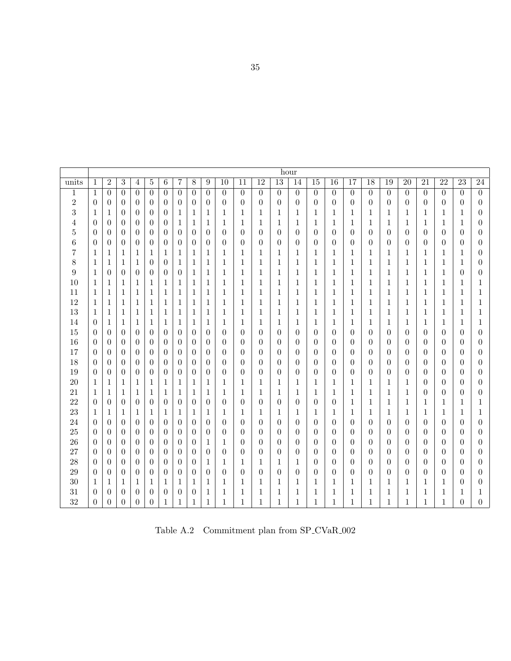<span id="page-40-0"></span>

|                  |                  |                |                  |                  |                |                  |                  |                  |                  |                  |                  |                  | hour             |                  |                  |                  |                 |                  |                  |                  |                  |                  |                  |                  |
|------------------|------------------|----------------|------------------|------------------|----------------|------------------|------------------|------------------|------------------|------------------|------------------|------------------|------------------|------------------|------------------|------------------|-----------------|------------------|------------------|------------------|------------------|------------------|------------------|------------------|
| units            | $\mathbf{1}$     | $\overline{2}$ | $\overline{3}$   | $\overline{4}$   | $\bf 5$        | $\overline{6}$   | 7                | $8\,$            | $\boldsymbol{9}$ | $\overline{10}$  | $\overline{11}$  | $\overline{12}$  | $\overline{13}$  | 14               | $\overline{15}$  | $\overline{16}$  | $\overline{17}$ | $\overline{18}$  | $\overline{19}$  | $\overline{20}$  | $\overline{21}$  | $\overline{22}$  | $\overline{23}$  | 24               |
| $\mathbf 1$      | 1                | $\theta$       | $\theta$         | $\boldsymbol{0}$ | $\overline{0}$ | $\overline{0}$   | $\overline{0}$   | $\overline{0}$   | $\theta$         | $\boldsymbol{0}$ | $\overline{0}$   | $\boldsymbol{0}$ | $\overline{0}$   | $\overline{0}$   | $\boldsymbol{0}$ | $\boldsymbol{0}$ | $\overline{0}$  | $\overline{0}$   | $\theta$         | $\overline{0}$   | $\overline{0}$   | $\overline{0}$   | $\theta$         | $\overline{0}$   |
| $\sqrt{2}$       | $\theta$         | $\theta$       | $\theta$         | $\theta$         | $\theta$       | $\theta$         | $\theta$         | $\overline{0}$   | $\theta$         | $\theta$         | $\theta$         | 0                | $\theta$         | $\overline{0}$   | $\theta$         | $\overline{0}$   | $\theta$        | $\theta$         | $\overline{0}$   | $\theta$         | $\theta$         | $\overline{0}$   | 0                | $\boldsymbol{0}$ |
| 3                | $\mathbf 1$      | $\mathbf{1}$   | $\overline{0}$   | 0                | $\theta$       | $\theta$         | 1                | $\mathbf{1}$     | 1                | $\mathbf 1$      | $\mathbf{1}$     | 1                | 1                | $\mathbf 1$      | $\mathbf 1$      | $\mathbf 1$      | 1               | 1                | $\mathbf 1$      | 1                | 1                | 1                | $\mathbf 1$      | $\boldsymbol{0}$ |
| 4                | $\overline{0}$   | $\theta$       | $\boldsymbol{0}$ | $\theta$         | $\theta$       | $\overline{0}$   | 1                | 1                | 1                | 1                | 1                | 1                | 1                | 1                | 1                | 1                | 1               | 1                | 1                | 1                | 1                | 1                | 1                | 0                |
| 5                | $\overline{0}$   | $\overline{0}$ | $\overline{0}$   | $\theta$         | $\overline{0}$ | $\overline{0}$   | $\overline{0}$   | $\overline{0}$   | $\theta$         | $\boldsymbol{0}$ | $\overline{0}$   | $\boldsymbol{0}$ | $\overline{0}$   | $\overline{0}$   | $\theta$         | $\boldsymbol{0}$ | $\theta$        | $\overline{0}$   | $\overline{0}$   | $\overline{0}$   | $\theta$         | $\overline{0}$   | $\boldsymbol{0}$ | 0                |
| 6                | $\boldsymbol{0}$ | $\overline{0}$ | $\boldsymbol{0}$ | $\boldsymbol{0}$ | $\theta$       | $\boldsymbol{0}$ | $\boldsymbol{0}$ | $\boldsymbol{0}$ | $\boldsymbol{0}$ | $\boldsymbol{0}$ | $\boldsymbol{0}$ | $\boldsymbol{0}$ | $\overline{0}$   | $\boldsymbol{0}$ | $\boldsymbol{0}$ | $\boldsymbol{0}$ | $\theta$        | $\boldsymbol{0}$ | $\boldsymbol{0}$ | $\boldsymbol{0}$ | $\boldsymbol{0}$ | $\boldsymbol{0}$ | $\boldsymbol{0}$ | $\boldsymbol{0}$ |
| 7                | 1                | $\mathbf 1$    | 1                | 1                | 1              | 1                | 1                | 1                | 1                | 1                | 1                | 1                | 1                | 1                | 1                | 1                | 1               | 1                | 1                | 1                | 1                | 1                | 1                | 0                |
| 8                | $\mathbf{1}$     | $\mathbf{1}$   | 1                | $\mathbf{1}$     | $\theta$       | $\overline{0}$   | 1                | $\mathbf{1}$     | $\mathbf{1}$     | $\mathbf{1}$     | $\mathbf{1}$     | $\mathbf 1$      | $\mathbf{1}$     | $\mathbf{1}$     | $\mathbf{1}$     | $\mathbf 1$      | $\mathbf{1}$    | $\mathbf{1}$     | $\mathbf{1}$     | $\mathbf 1$      | $\mathbf{1}$     | $\mathbf{1}$     | $\mathbf 1$      | $\boldsymbol{0}$ |
| $\boldsymbol{9}$ | $\mathbf{1}$     | $\overline{0}$ | $\theta$         | $\theta$         | $\theta$       | $\overline{0}$   | $\theta$         | 1                | 1                | $\mathbf{1}$     | $\mathbf{1}$     | 1                | 1                | $\mathbf{1}$     | 1                | $\mathbf 1$      | 1               | 1                | $\mathbf{1}$     | $\mathbf 1$      | $\mathbf{1}$     | $\mathbf{1}$     | 0                | $\boldsymbol{0}$ |
| 10               | 1                | $\mathbf 1$    | 1                | 1                | 1              | 1                | 1                | $\mathbf{1}$     | 1                | $\mathbf{1}$     | 1                | 1                | $\mathbf{1}$     | $\mathbf{1}$     | $\mathbf{1}$     | $\mathbf{1}$     | 1               | 1                | 1                | 1                | $\mathbf{1}$     | 1                | 1                | 1                |
| 11               | $\mathbf{1}$     | $\mathbf{1}$   | 1                | $\mathbf{1}$     | 1              | 1                | 1                | $\mathbf{1}$     | $\mathbf{1}$     | $\mathbf{1}$     | 1                | 1                | $\mathbf{1}$     | $\mathbf{1}$     | $\mathbf{1}$     | $\mathbf{1}$     | 1               | 1                | $\mathbf{1}$     | $\mathbf 1$      | $\mathbf{1}$     | $\mathbf{1}$     | 1                | 1                |
| 12               | 1                | $\mathbf{1}$   | 1                | $\mathbf{1}$     | 1              | 1                | 1                | 1                | 1                | $\mathbf{1}$     | 1                | 1                | 1                | $\mathbf{1}$     | $\mathbf{1}$     | $\mathbf{1}$     | 1               | 1                | 1                | 1                | $\mathbf{1}$     | 1                | 1                |                  |
| 13               | $\mathbf{1}$     | $\mathbf{1}$   | 1                | $\mathbf{1}$     | 1              | 1                | 1                | $\mathbf{1}$     | 1                | $\mathbf{1}$     | 1                | 1                | $\mathbf{1}$     | 1                | 1                | 1                | 1               | 1                | 1                | 1                | 1                | 1                | 1                | 1                |
| 14               | $\overline{0}$   | $\mathbf{1}$   | 1                | 1                | 1              | 1                | 1                | 1                | 1                | 1                | 1                | 1                | 1                | 1                | 1                | 1                | 1               | 1                | 1                | 1                | 1                | 1                | 1                | 1                |
| 15               | $\theta$         | $\theta$       | $\theta$         | $\theta$         | $\theta$       | $\overline{0}$   | $\theta$         | $\theta$         | $\theta$         | $\theta$         | $\theta$         | 0                | $\theta$         | $\theta$         | $\theta$         | $\theta$         | $\theta$        | $\theta$         | $\theta$         | $\theta$         | $\theta$         | $\overline{0}$   | $\theta$         | 0                |
| 16               | $\theta$         | $\overline{0}$ | $\theta$         | $\theta$         | $\theta$       | $\theta$         | $\theta$         | $\overline{0}$   | $\theta$         | $\theta$         | $\theta$         | 0                | $\theta$         | $\theta$         | $\theta$         | $\theta$         | $\theta$        | $\overline{0}$   | $\theta$         | $\theta$         | $\theta$         | $\theta$         | $\theta$         | 0                |
| 17               | $\theta$         | $\overline{0}$ | $\overline{0}$   | $\theta$         | $\theta$       | $\overline{0}$   | $\overline{0}$   | $\overline{0}$   | $\theta$         | $\boldsymbol{0}$ | $\overline{0}$   | $\boldsymbol{0}$ | $\overline{0}$   | $\overline{0}$   | $\overline{0}$   | $\overline{0}$   | $\theta$        | $\boldsymbol{0}$ | $\theta$         | $\theta$         | $\theta$         | $\theta$         | $\boldsymbol{0}$ | 0                |
| 18               | $\boldsymbol{0}$ | $\theta$       | $\overline{0}$   | $\theta$         | $\theta$       | $\theta$         | $\theta$         | $\theta$         | $\theta$         | $\overline{0}$   | $\theta$         | 0                | $\theta$         | $\theta$         | $\theta$         | $\theta$         | $\theta$        | $\boldsymbol{0}$ | $\theta$         | $\theta$         | $\theta$         | $\theta$         | $\theta$         | 0                |
| 19               | $\theta$         | $\overline{0}$ | $\theta$         | 0                | $\theta$       | $\theta$         | $\boldsymbol{0}$ | $\theta$         | $\overline{0}$   | $\boldsymbol{0}$ | $\overline{0}$   | 0                | $\boldsymbol{0}$ | $\overline{0}$   | $\theta$         | $\overline{0}$   | $\theta$        | $\boldsymbol{0}$ | $\overline{0}$   | $\theta$         | $\theta$         | $\theta$         | 0                | $\boldsymbol{0}$ |
| 20               | 1                | 1              | 1                | 1                | 1              | 1                | 1                | 1                | 1                | $\mathbf{1}$     | 1                | 1                | 1                | 1                | 1                | 1                | 1               | 1                | 1                | 1                | $\theta$         | $\overline{0}$   | $\theta$         | 0                |
| 21               | 1                | $\mathbf 1$    | 1                | 1                | 1              | 1                | 1                | $\mathbf{1}$     | 1                | 1                | 1                | 1                | 1                | 1                | 1                | 1                | 1               | 1                | 1                | 1                | $\theta$         | $\theta$         | 0                | 0                |
| 22               | $\theta$         | $\overline{0}$ | $\boldsymbol{0}$ | $\boldsymbol{0}$ | $\theta$       | $\overline{0}$   | $\boldsymbol{0}$ | $\boldsymbol{0}$ | $\boldsymbol{0}$ | $\boldsymbol{0}$ | $\overline{0}$   | $\boldsymbol{0}$ | $\theta$         | $\boldsymbol{0}$ | $\overline{0}$   | $\boldsymbol{0}$ | $\mathbf{1}$    | 1                | 1                | 1                | 1                | $\mathbf{1}$     | 1                | 1                |
| 23               | 1                | $\mathbf 1$    | 1                | 1                | 1              | 1                | 1                | 1                | 1                | $\mathbf{1}$     | 1                | 1                | 1                | 1                | 1                | 1                | 1               | 1                | 1                | 1                | 1                | 1                | 1                | 1                |
| 24               | $\overline{0}$   | $\theta$       | $\boldsymbol{0}$ | $\theta$         | $\theta$       | $\theta$         | $\theta$         | $\overline{0}$   | $\overline{0}$   | $\overline{0}$   | $\overline{0}$   | 0                | $\theta$         | $\overline{0}$   | $\theta$         | $\theta$         | $\theta$        | $\theta$         | $\theta$         | $\theta$         | $\theta$         | $\theta$         | $\overline{0}$   | 0                |
| 25               | $\boldsymbol{0}$ | $\theta$       | 0                | $\boldsymbol{0}$ | $\theta$       | $\boldsymbol{0}$ | $\boldsymbol{0}$ | $\overline{0}$   | $\boldsymbol{0}$ | $\boldsymbol{0}$ | $\theta$         | $\boldsymbol{0}$ | $\boldsymbol{0}$ | $\overline{0}$   | $\overline{0}$   | $\overline{0}$   | $\theta$        | $\theta$         | $\overline{0}$   | $\overline{0}$   | $\theta$         | $\boldsymbol{0}$ | $\overline{0}$   | $\boldsymbol{0}$ |
| 26               | $\boldsymbol{0}$ | $\overline{0}$ | $\theta$         | $\theta$         | $\theta$       | $\boldsymbol{0}$ | $\theta$         | $\overline{0}$   | 1                | $\mathbf{1}$     | $\theta$         | 0                | $\theta$         | $\overline{0}$   | $\overline{0}$   | $\boldsymbol{0}$ | $\theta$        | $\overline{0}$   | $\theta$         | $\overline{0}$   | $\theta$         | $\overline{0}$   | $\boldsymbol{0}$ | 0                |
| 27               | $\boldsymbol{0}$ | $\overline{0}$ | $\overline{0}$   | $\theta$         | $\theta$       | $\overline{0}$   | $\overline{0}$   | $\boldsymbol{0}$ | $\boldsymbol{0}$ | $\boldsymbol{0}$ | $\boldsymbol{0}$ | $\boldsymbol{0}$ | $\boldsymbol{0}$ | $\overline{0}$   | $\boldsymbol{0}$ | $\boldsymbol{0}$ | $\theta$        | $\boldsymbol{0}$ | $\boldsymbol{0}$ | $\boldsymbol{0}$ | $\theta$         | $\theta$         | $\boldsymbol{0}$ | 0                |
| 28               | $\theta$         | $\theta$       | $\overline{0}$   | $\theta$         | $\theta$       | $\overline{0}$   | $\theta$         | $\overline{0}$   | 1                | $\mathbf{1}$     | 1                | 1                | $\mathbf{1}$     | $\mathbf{1}$     | $\boldsymbol{0}$ | $\overline{0}$   | $\theta$        | $\overline{0}$   | $\overline{0}$   | $\overline{0}$   | $\theta$         | $\theta$         | $\theta$         | 0                |
| 29               | $\boldsymbol{0}$ | $\theta$       | $\overline{0}$   | $\theta$         | $\theta$       | $\theta$         | $\theta$         | $\overline{0}$   | $\overline{0}$   | $\overline{0}$   | $\theta$         | $\overline{0}$   | $\theta$         | $\overline{0}$   | $\overline{0}$   | $\overline{0}$   | $\theta$        | $\theta$         | $\theta$         | $\theta$         | $\theta$         | $\theta$         | 0                | 0                |
| 30               | 1                | 1              | 1                | 1                | 1              | 1                | 1                | 1                | 1                | $\mathbf{1}$     | 1                | 1                | 1                | 1                | 1                | 1                | 1               | 1                | 1                | 1                | 1                | 1                | 0                | $\boldsymbol{0}$ |
| 31               | $\overline{0}$   | $\overline{0}$ | $\boldsymbol{0}$ | 0                | $\theta$       | $\overline{0}$   | $\theta$         | $\theta$         | 1                | $\mathbf{1}$     | 1                | 1                | 1                | $\mathbf{1}$     | 1                | 1                | 1               | 1                | $\mathbf{1}$     | 1                | 1                | 1                | $\mathbf{1}$     |                  |
| 32               | $\overline{0}$   | $\overline{0}$ | $\theta$         | $\overline{0}$   | $\theta$       | $\mathbf 1$      | $\mathbf{1}$     | $\mathbf{1}$     | $\mathbf{1}$     | $\mathbf{1}$     | $\mathbf{1}$     | 1                | $\mathbf{1}$     | $\mathbf{1}$     | $\mathbf{1}$     | 1                | 1               | $\mathbf{1}$     | $\mathbf{1}$     | 1                | 1                | $\mathbf{1}$     | $\overline{0}$   | $\overline{0}$   |

Table A.2  $\,$  Commitment plan from SP\_CVaR\_002  $\,$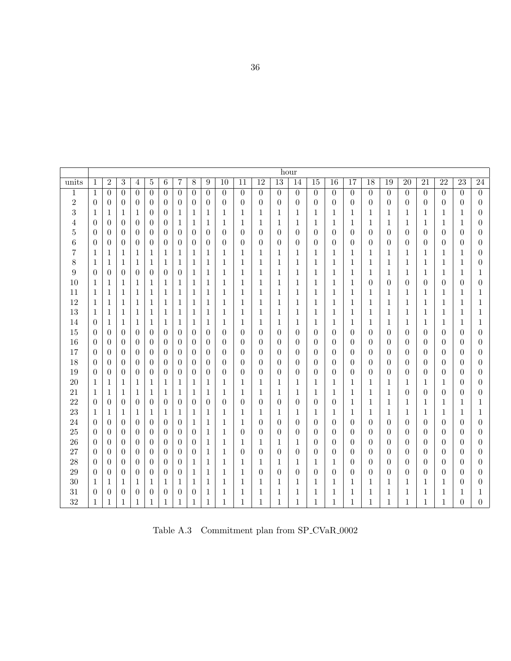<span id="page-41-0"></span>

|                |                  |                  |                  |                  |                |                  |                  |                  |                |                  |                 |                 |                  | hour             |                  |                  |                 |                  |                  |                  |                  |                  |                  |                  |
|----------------|------------------|------------------|------------------|------------------|----------------|------------------|------------------|------------------|----------------|------------------|-----------------|-----------------|------------------|------------------|------------------|------------------|-----------------|------------------|------------------|------------------|------------------|------------------|------------------|------------------|
| units          | $\mathbf{1}$     | $\overline{2}$   | 3                | $\overline{4}$   | $\overline{5}$ | $\overline{6}$   | 7                | $8\,$            | 9              | $\overline{10}$  | $\overline{11}$ | $\overline{12}$ | $\overline{13}$  | 14               | $\overline{15}$  | $\overline{16}$  | $\overline{17}$ | $\overline{18}$  | $\overline{19}$  | $\overline{20}$  | $\overline{21}$  | $\overline{22}$  | $\overline{23}$  | 24               |
| $\,1$          | 1                | $\overline{0}$   | $\overline{0}$   | $\overline{0}$   | $\Omega$       | $\theta$         | $\overline{0}$   | $\theta$         | $\overline{0}$ | $\boldsymbol{0}$ | $\theta$        | $\overline{0}$  | $\overline{0}$   | $\overline{0}$   | $\theta$         | $\overline{0}$   | $\overline{0}$  | $\overline{0}$   | $\overline{0}$   | $\overline{0}$   | $\overline{0}$   | $\overline{0}$   | $\theta$         | $\overline{0}$   |
| $\,2$          | $\theta$         | $\theta$         | $\overline{0}$   | $\theta$         | $\theta$       | $\theta$         | $\overline{0}$   | $\theta$         | $\theta$       | $\theta$         | 0               | $\theta$        | $\theta$         | $\boldsymbol{0}$ | $\overline{0}$   | $\theta$         | $\theta$        | $\theta$         | $\theta$         | $\theta$         | $\theta$         | $\overline{0}$   | 0                | $\boldsymbol{0}$ |
| 3              | 1                | $\mathbf{1}$     | 1                | 1                | $\theta$       | $\overline{0}$   | 1                | $\mathbf 1$      | 1              | $\mathbf 1$      | 1               | 1               | 1                | 1                | 1                | 1                | $\mathbf 1$     | 1                | 1                | 1                | 1                | 1                | $\mathbf 1$      | $\boldsymbol{0}$ |
| 4              | $\theta$         | $\overline{0}$   | $\overline{0}$   | $\theta$         | $\overline{0}$ | $\overline{0}$   | 1                | 1                | 1              | 1                | 1               | 1               | $\mathbf 1$      | 1                | 1                | 1                | 1               | 1                | 1                | 1                | 1                | 1                | 1                | 0                |
| $\overline{5}$ | 0                | $\overline{0}$   | $\theta$         | $\theta$         | $\theta$       | $\overline{0}$   | $\overline{0}$   | $\theta$         | $\overline{0}$ | $\boldsymbol{0}$ | $\overline{0}$  | $\theta$        | $\overline{0}$   | $\overline{0}$   | $\boldsymbol{0}$ | $\theta$         | $\theta$        | 0                | $\overline{0}$   | $\boldsymbol{0}$ | $\theta$         | $\theta$         | $\boldsymbol{0}$ | 0                |
| 6              | $\theta$         | $\overline{0}$   | $\theta$         | $\overline{0}$   | $\overline{0}$ | $\overline{0}$   | $\overline{0}$   | $\theta$         | $\overline{0}$ | $\overline{0}$   | 0               | $\theta$        | $\overline{0}$   | $\boldsymbol{0}$ | $\overline{0}$   | $\overline{0}$   | $\theta$        | 0                | $\theta$         | $\boldsymbol{0}$ | $\boldsymbol{0}$ | $\theta$         | $\boldsymbol{0}$ | $\overline{0}$   |
| 7              | 1                | $\mathbf{1}$     | 1                | 1                | 1              | 1                | 1                | 1                | 1              | 1                | 1               | 1               | 1                | 1                | 1                | 1                | 1               | 1                | 1                | 1                | 1                | 1                | 1                | 0                |
| 8              | 1                | $\mathbf{1}$     | 1                | 1                | 1              | 1                | 1                | 1                | 1              | 1                | 1               | 1               | 1                | 1                | 1                | 1                | 1               | 1                | 1                | 1                | $\mathbf{1}$     | 1                | 1                | 0                |
| 9              | $\overline{0}$   | $\overline{0}$   | $\theta$         | $\overline{0}$   | $\overline{0}$ | $\theta$         | $\overline{0}$   | $\mathbf 1$      | 1              | 1                | 1               | 1               | 1                | 1                | 1                | 1                | 1               | 1                | 1                | 1                | 1                | 1                | 1                |                  |
| 10             | 1                | $\mathbf{1}$     | 1                | 1                | 1              | 1                | $\mathbf{1}$     | $\mathbf 1$      | 1              | 1                | 1               | 1               | 1                | 1                | $\mathbf 1$      | 1                | $\mathbf 1$     | $\overline{0}$   | $\overline{0}$   | $\boldsymbol{0}$ | $\theta$         | $\theta$         | $\overline{0}$   | 0                |
| 11             | 1                | $\mathbf{1}$     | 1                | 1                | 1              | 1                | $\mathbf{1}$     | 1                | $\mathbf{1}$   | 1                | 1               | 1               | 1                | 1                | $\mathbf 1$      | 1                | 1               | 1                | 1                | 1                | 1                | 1                | 1                | 1                |
| 12             | 1                | $\mathbf 1$      | 1                | 1                | 1              | 1                | 1                | 1                | 1              | 1                | 1               | 1               | 1                | 1                | $\mathbf 1$      | 1                | 1               | 1                | 1                | 1                | 1                | 1                | 1                | 1                |
| 13             | 1                | $\mathbf{1}$     | 1                | $\mathbf{1}$     | 1              | $\mathbf 1$      | 1                | $\mathbf{1}$     | $\mathbf{1}$   | $\mathbf{1}$     | $\mathbf 1$     | 1               | $\mathbf 1$      | 1                | $\mathbf{1}$     | 1                | $\mathbf{1}$    | 1                | $\mathbf{1}$     | 1                | $\mathbf{1}$     | 1                | $\mathbf 1$      | 1                |
| 14             | $\overline{0}$   | $\mathbf{1}$     | 1                | $\mathbf{1}$     | 1              | 1                | 1                | $\mathbf 1$      | $\mathbf 1$    | $\mathbf 1$      | 1               | 1               | 1                | 1                | 1                | 1                | $\mathbf{1}$    | $\mathbf 1$      | 1                | 1                | $\mathbf{1}$     | 1                | $\mathbf 1$      | $\mathbf 1$      |
| 15             | $\overline{0}$   | $\overline{0}$   | $\theta$         | $\theta$         | $\overline{0}$ | $\overline{0}$   | $\overline{0}$   | $\theta$         | $\overline{0}$ | $\boldsymbol{0}$ | $\overline{0}$  | $\theta$        | $\overline{0}$   | $\theta$         | $\boldsymbol{0}$ | $\boldsymbol{0}$ | $\overline{0}$  | $\overline{0}$   | $\theta$         | $\boldsymbol{0}$ | $\theta$         | $\boldsymbol{0}$ | $\boldsymbol{0}$ | 0                |
| 16             | $\overline{0}$   | $\overline{0}$   | $\theta$         | $\theta$         | $\theta$       | $\overline{0}$   | $\boldsymbol{0}$ | $\boldsymbol{0}$ | $\overline{0}$ | $\boldsymbol{0}$ | $\overline{0}$  | $\theta$        | $\boldsymbol{0}$ | $\boldsymbol{0}$ | $\boldsymbol{0}$ | $\boldsymbol{0}$ | $\theta$        | $\boldsymbol{0}$ | $\boldsymbol{0}$ | $\boldsymbol{0}$ | $\theta$         | $\theta$         | $\boldsymbol{0}$ | $\boldsymbol{0}$ |
| 17             | $\boldsymbol{0}$ | $\boldsymbol{0}$ | $\boldsymbol{0}$ | $\theta$         | $\overline{0}$ | $\overline{0}$   | $\boldsymbol{0}$ | $\boldsymbol{0}$ | $\theta$       | $\boldsymbol{0}$ | $\overline{0}$  | $\theta$        | 0                | $\boldsymbol{0}$ | $\boldsymbol{0}$ | $\boldsymbol{0}$ | $\theta$        | $\boldsymbol{0}$ | $\boldsymbol{0}$ | $\boldsymbol{0}$ | $\boldsymbol{0}$ | $\boldsymbol{0}$ | $\boldsymbol{0}$ | $\boldsymbol{0}$ |
| 18             | $\overline{0}$   | $\overline{0}$   | $\overline{0}$   | $\theta$         | $\theta$       | $\overline{0}$   | $\theta$         | $\overline{0}$   | $\overline{0}$ | $\boldsymbol{0}$ | $\overline{0}$  | $\overline{0}$  | $\boldsymbol{0}$ | $\overline{0}$   | $\overline{0}$   | $\theta$         | $\theta$        | $\boldsymbol{0}$ | $\overline{0}$   | 0                | $\theta$         | $\overline{0}$   | $\overline{0}$   | $\boldsymbol{0}$ |
| 19             | $\overline{0}$   | $\overline{0}$   | $\theta$         | $\theta$         | $\overline{0}$ | $\theta$         | $\theta$         | $\overline{0}$   | $\overline{0}$ | $\boldsymbol{0}$ | $\overline{0}$  | $\overline{0}$  | $\boldsymbol{0}$ | $\overline{0}$   | $\boldsymbol{0}$ | $\boldsymbol{0}$ | $\theta$        | $\boldsymbol{0}$ | $\overline{0}$   | 0                | $\theta$         | $\theta$         | 0                | 0                |
| 20             | 1                | $\mathbf{1}$     | 1                | 1                | 1              | $\mathbf{1}$     | 1                | 1                | 1              | 1                | 1               | 1               | 1                | 1                | 1                | 1                | 1               | 1                | 1                | 1                | 1                | 1                | $\overline{0}$   | 0                |
| 21             | 1                | $\mathbf{1}$     | 1                | $\mathbf{1}$     | 1              | 1                | 1                | $\mathbf{1}$     | 1              | $\mathbf{1}$     | 1               | 1               | $\mathbf{1}$     | 1                | 1                | 1                | $\mathbf{1}$    | $\mathbf 1$      | $\mathbf{1}$     | $\overline{0}$   | $\theta$         | $\boldsymbol{0}$ | $\theta$         | 0                |
| 22             | $\theta$         | $\boldsymbol{0}$ | $\overline{0}$   | $\boldsymbol{0}$ | $\theta$       | $\boldsymbol{0}$ | $\overline{0}$   | $\boldsymbol{0}$ | $\overline{0}$ | $\boldsymbol{0}$ | $\theta$        | $\overline{0}$  | $\theta$         | $\boldsymbol{0}$ | $\boldsymbol{0}$ | $\boldsymbol{0}$ | $\mathbf{1}$    | 1                | $\mathbf{1}$     | 1                | 1                | 1                | 1                | 1                |
| 23             | 1                | $\mathbf{1}$     | 1                | 1                | 1              | 1                | 1                | 1                | 1              | 1                | 1               | 1               | 1                | 1                | 1                | 1                | 1               | 1                | $\mathbf{1}$     | 1                | $\mathbf{1}$     | 1                | $\mathbf{1}$     | 1                |
| 24             | $\theta$         | $\theta$         | $\overline{0}$   | $\theta$         | $\theta$       | $\theta$         | $\theta$         | 1                | 1              | $\mathbf{1}$     | 1               | $\theta$        | $\theta$         | $\theta$         | $\theta$         | $\theta$         | $\theta$        | $\theta$         | $\theta$         | $\theta$         | $\theta$         | $\theta$         | $\theta$         | 0                |
| 25             | $\overline{0}$   | $\theta$         | $\theta$         | $\theta$         | $\theta$       | $\theta$         | $\theta$         | $\overline{0}$   | 1              | $\mathbf{1}$     | $\overline{0}$  | 0               | $\theta$         | $\theta$         | $\theta$         | $\theta$         | $\theta$        | $\theta$         | $\theta$         | $\theta$         | $\theta$         | $\theta$         | $\theta$         | 0                |
| 26             | $\overline{0}$   | $\theta$         | $\theta$         | $\theta$         | $\overline{0}$ | $\theta$         | $\theta$         | $\theta$         | 1              | 1                | 1               | 1               | 1                | 1                | $\theta$         | $\theta$         | $\theta$        | 0                | $\theta$         | $\theta$         | $\theta$         | $\theta$         | $\theta$         | 0                |
| 27             | $\theta$         | $\theta$         | $\theta$         | $\theta$         | $\theta$       | $\overline{0}$   | $\overline{0}$   | $\theta$         | 1              | $\mathbf{1}$     | $\overline{0}$  | $\theta$        | $\theta$         | $\overline{0}$   | $\overline{0}$   | $\overline{0}$   | $\theta$        | $\overline{0}$   | $\theta$         | $\theta$         | $\theta$         | $\theta$         | $\theta$         | $\boldsymbol{0}$ |
| 28             | $\overline{0}$   | $\overline{0}$   | $\theta$         | $\theta$         | $\theta$       | $\overline{0}$   | $\overline{0}$   | 1                | 1              | $\mathbf{1}$     | 1               | 1               | $\mathbf{1}$     | 1                | 1                | 1                | $\theta$        | $\boldsymbol{0}$ | $\theta$         | $\theta$         | $\theta$         | $\theta$         | $\overline{0}$   | $\overline{0}$   |
| 29             | $\overline{0}$   | $\theta$         | $\overline{0}$   | $\theta$         | $\theta$       | $\theta$         | $\overline{0}$   | 1                | 1              | $\mathbf{1}$     | 1               | $\theta$        | $\overline{0}$   | $\theta$         | $\overline{0}$   | $\overline{0}$   | $\theta$        | $\overline{0}$   | $\theta$         | $\overline{0}$   | $\theta$         | $\theta$         | 0                | 0                |
| 30             | 1                | $\mathbf 1$      | 1                | 1                | 1              | 1                | 1                | 1                | 1              | 1                | 1               | 1               | 1                | 1                | $\mathbf 1$      | 1                | 1               | 1                | 1                | 1                | 1                | 1                | 0                | $\boldsymbol{0}$ |
| 31             | $\overline{0}$   | $\overline{0}$   | $\theta$         | $\theta$         | 0              | $\theta$         | $\boldsymbol{0}$ | $\overline{0}$   | 1              | 1                | 1               | 1               | 1                | 1                | 1                | 1                | 1               | 1                | 1                | 1                | 1                | 1                | $\mathbf{1}$     |                  |
| 32             | $\mathbf 1$      | $\mathbf{1}$     | 1                | $\mathbf{1}$     | 1              | $\mathbf{1}$     | $\mathbf{1}$     | $\mathbf{1}$     | $\mathbf{1}$   | $\mathbf{1}$     | 1               | 1               | $\mathbf{1}$     | 1                | $\mathbf 1$      | 1                | 1               | 1                | $\mathbf{1}$     | 1                | 1                | $\mathbf{1}$     | $\overline{0}$   | $\overline{0}$   |

Table A.3  $\,$  Commitment plan from SP\_CVaR\_0002  $\,$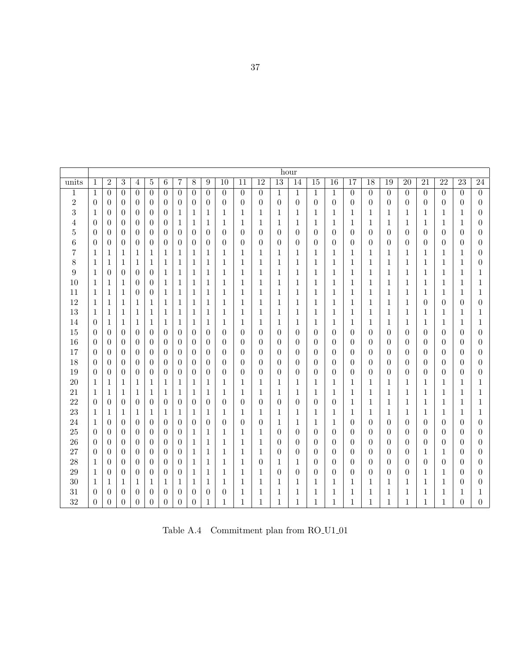<span id="page-42-0"></span>

|                  |                  |                |                  |                  |                |                  |                  |                  |                  |                  |                  |                  | hour             |                  |                  |                  |                 |                  |                  |                  |                  |                  |                  |                  |
|------------------|------------------|----------------|------------------|------------------|----------------|------------------|------------------|------------------|------------------|------------------|------------------|------------------|------------------|------------------|------------------|------------------|-----------------|------------------|------------------|------------------|------------------|------------------|------------------|------------------|
| units            | $\mathbf{1}$     | $\overline{2}$ | $\overline{3}$   | $\overline{4}$   | $\bf 5$        | $\overline{6}$   | 7                | $8\,$            | $\boldsymbol{9}$ | $\overline{10}$  | $\overline{11}$  | $\overline{12}$  | $\overline{13}$  | 14               | $\overline{15}$  | $\overline{16}$  | $\overline{17}$ | $\overline{18}$  | $\overline{19}$  | $\overline{20}$  | $\overline{21}$  | $\overline{22}$  | $\overline{23}$  | 24               |
| $\mathbf 1$      | 1                | $\theta$       | $\theta$         | $\boldsymbol{0}$ | $\overline{0}$ | $\overline{0}$   | $\overline{0}$   | $\overline{0}$   | $\theta$         | $\boldsymbol{0}$ | $\theta$         | $\boldsymbol{0}$ | $\mathbf{1}$     | $\mathbf{1}$     | $\mathbf{1}$     | $\mathbf{1}$     | $\overline{0}$  | $\overline{0}$   | $\theta$         | $\overline{0}$   | $\overline{0}$   | $\overline{0}$   | $\theta$         | $\overline{0}$   |
| $\sqrt{2}$       | $\theta$         | $\theta$       | $\theta$         | $\theta$         | $\theta$       | $\theta$         | $\theta$         | $\overline{0}$   | $\theta$         | $\theta$         | $\theta$         | $\boldsymbol{0}$ | $\overline{0}$   | $\overline{0}$   | $\theta$         | $\theta$         | $\theta$        | $\theta$         | $\overline{0}$   | $\theta$         | $\theta$         | $\overline{0}$   | 0                | $\boldsymbol{0}$ |
| 3                | $\mathbf 1$      | $\overline{0}$ | $\theta$         | $\theta$         | $\theta$       | $\theta$         | 1                | $\mathbf{1}$     | 1                | $\mathbf 1$      | $\mathbf{1}$     | 1                | 1                | $\mathbf 1$      | $\mathbf 1$      | 1                | 1               | 1                | $\mathbf 1$      | 1                | 1                | 1                | 1                | 0                |
| 4                | $\overline{0}$   | $\overline{0}$ | $\boldsymbol{0}$ | $\theta$         | $\theta$       | $\overline{0}$   | 1                | 1                | 1                | 1                | 1                | 1                | 1                | 1                | 1                | 1                | 1               | 1                | 1                | 1                | 1                | 1                | 1                | 0                |
| 5                | $\overline{0}$   | $\theta$       | $\overline{0}$   | $\theta$         | $\overline{0}$ | $\overline{0}$   | $\overline{0}$   | $\overline{0}$   | $\theta$         | $\boldsymbol{0}$ | $\theta$         | $\boldsymbol{0}$ | $\overline{0}$   | $\overline{0}$   | $\theta$         | $\boldsymbol{0}$ | $\theta$        | $\overline{0}$   | $\overline{0}$   | $\overline{0}$   | $\theta$         | $\overline{0}$   | $\boldsymbol{0}$ | 0                |
| 6                | $\boldsymbol{0}$ | $\overline{0}$ | $\boldsymbol{0}$ | $\boldsymbol{0}$ | $\theta$       | $\boldsymbol{0}$ | $\boldsymbol{0}$ | $\boldsymbol{0}$ | $\boldsymbol{0}$ | $\boldsymbol{0}$ | $\boldsymbol{0}$ | $\boldsymbol{0}$ | $\overline{0}$   | $\boldsymbol{0}$ | $\boldsymbol{0}$ | $\boldsymbol{0}$ | $\theta$        | $\boldsymbol{0}$ | $\boldsymbol{0}$ | $\boldsymbol{0}$ | $\boldsymbol{0}$ | $\boldsymbol{0}$ | $\boldsymbol{0}$ | $\boldsymbol{0}$ |
| 7                | 1                | $\mathbf 1$    | 1                | 1                | 1              | 1                | 1                | 1                | 1                | 1                | 1                | 1                | 1                | 1                | 1                | 1                | 1               | 1                | 1                | 1                | 1                | 1                | 1                | 0                |
| 8                | $\mathbf{1}$     | $\mathbf{1}$   | 1                | $\mathbf{1}$     | 1              | $\mathbf{1}$     | 1                | $\mathbf{1}$     | $\mathbf{1}$     | $\mathbf{1}$     | $\mathbf{1}$     | $\mathbf{1}$     | $\mathbf{1}$     | $\mathbf{1}$     | $\mathbf{1}$     | $\mathbf 1$      | $\mathbf{1}$    | $\mathbf{1}$     | $\mathbf{1}$     | $\mathbf 1$      | $\mathbf{1}$     | $\mathbf{1}$     | $\mathbf 1$      | $\boldsymbol{0}$ |
| $\boldsymbol{9}$ | $\mathbf{1}$     | $\overline{0}$ | $\boldsymbol{0}$ | $\theta$         | $\overline{0}$ | 1                | 1                | $\mathbf{1}$     | 1                | $\mathbf{1}$     | 1                | 1                | 1                | $\mathbf{1}$     | 1                | $\mathbf 1$      | 1               | 1                | $\mathbf{1}$     | $\mathbf 1$      | 1                | 1                | 1                | 1                |
| 10               | 1                | $\mathbf 1$    | 1                | $\theta$         | $\theta$       | 1                | 1                | $\mathbf{1}$     | 1                | $\mathbf{1}$     | 1                | 1                | $\mathbf{1}$     | $\mathbf{1}$     | $\mathbf{1}$     | 1                | 1               | 1                | 1                | 1                | $\mathbf{1}$     | 1                | 1                | 1                |
| 11               | $\mathbf{1}$     | $\mathbf{1}$   | 1                | $\theta$         | $\theta$       | 1                | 1                | $\mathbf{1}$     | $\mathbf{1}$     | $\mathbf{1}$     | 1                | 1                | $\mathbf{1}$     | $\mathbf{1}$     | $\mathbf{1}$     | 1                | 1               | 1                | $\mathbf{1}$     | $\mathbf 1$      | 1                | $\mathbf{1}$     | 1                | 1                |
| 12               | 1                | $\mathbf{1}$   | 1                | $\mathbf{1}$     | 1              | 1                | 1                | 1                | 1                | $\mathbf{1}$     | 1                | 1                | 1                | $\mathbf{1}$     | $\mathbf{1}$     | $\mathbf{1}$     | 1               | 1                | 1                | 1                | $\theta$         | $\theta$         | $\theta$         | 0                |
| 13               | $\mathbf{1}$     | $\mathbf{1}$   | 1                | $\mathbf{1}$     | 1              | 1                | 1                | $\mathbf{1}$     | 1                | $\mathbf{1}$     | 1                | 1                | 1                | 1                | 1                | 1                | 1               | 1                | 1                | 1                | 1                | 1                | 1                | 1                |
| 14               | $\overline{0}$   | $\mathbf{1}$   | 1                | $\,1$            | 1              | 1                | 1                | 1                | 1                | 1                | 1                | 1                | 1                | 1                | 1                | 1                | 1               | 1                | 1                | 1                | 1                | 1                | 1                | 1                |
| 15               | $\theta$         | $\theta$       | $\theta$         | $\theta$         | $\theta$       | $\overline{0}$   | $\theta$         | $\theta$         | $\theta$         | $\theta$         | $\overline{0}$   | 0                | $\theta$         | $\theta$         | $\theta$         | $\theta$         | $\theta$        | $\theta$         | $\theta$         | $\theta$         | $\theta$         | $\overline{0}$   | $\theta$         | 0                |
| 16               | $\theta$         | $\overline{0}$ | $\theta$         | $\theta$         | $\theta$       | $\theta$         | $\theta$         | $\overline{0}$   | $\theta$         | $\theta$         | $\theta$         | 0                | $\theta$         | $\theta$         | $\theta$         | $\theta$         | $\theta$        | $\overline{0}$   | $\theta$         | $\theta$         | $\theta$         | $\theta$         | $\theta$         | 0                |
| 17               | $\theta$         | $\overline{0}$ | $\overline{0}$   | $\theta$         | $\theta$       | $\overline{0}$   | $\overline{0}$   | $\overline{0}$   | $\theta$         | $\boldsymbol{0}$ | $\theta$         | $\boldsymbol{0}$ | $\overline{0}$   | $\overline{0}$   | $\overline{0}$   | $\overline{0}$   | $\theta$        | $\boldsymbol{0}$ | $\theta$         | $\theta$         | $\theta$         | $\theta$         | $\boldsymbol{0}$ | 0                |
| 18               | $\boldsymbol{0}$ | $\theta$       | $\overline{0}$   | $\theta$         | $\theta$       | $\theta$         | $\theta$         | $\theta$         | $\theta$         | $\overline{0}$   | $\theta$         | 0                | $\theta$         | $\theta$         | $\theta$         | $\theta$         | $\theta$        | $\boldsymbol{0}$ | $\theta$         | $\theta$         | $\theta$         | $\theta$         | $\theta$         | 0                |
| 19               | $\theta$         | $\overline{0}$ | $\theta$         | 0                | $\theta$       | $\theta$         | $\boldsymbol{0}$ | $\theta$         | $\overline{0}$   | $\boldsymbol{0}$ | $\overline{0}$   | 0                | $\boldsymbol{0}$ | $\overline{0}$   | $\theta$         | $\overline{0}$   | $\theta$        | $\boldsymbol{0}$ | $\overline{0}$   | $\theta$         | $\theta$         | $\theta$         | 0                | 0                |
| 20               | 1                | 1              | 1                | 1                | 1              | 1                | 1                | 1                | 1                | $\mathbf{1}$     | 1                | 1                | 1                | 1                | 1                | 1                | 1               | 1                | 1                | 1                | 1                | 1                | 1                | 1                |
| 21               | 1                | $\mathbf 1$    | 1                | 1                | 1              | 1                | 1                | $\mathbf{1}$     | 1                | 1                | 1                | 1                | 1                | 1                | 1                | 1                | 1               | 1                | 1                | 1                | 1                | 1                | 1                | 1                |
| 22               | $\boldsymbol{0}$ | $\overline{0}$ | $\boldsymbol{0}$ | $\boldsymbol{0}$ | $\theta$       | $\overline{0}$   | $\boldsymbol{0}$ | $\boldsymbol{0}$ | $\boldsymbol{0}$ | $\boldsymbol{0}$ | $\theta$         | $\boldsymbol{0}$ | $\theta$         | $\boldsymbol{0}$ | $\overline{0}$   | $\boldsymbol{0}$ | $\mathbf{1}$    | 1                | 1                | 1                | 1                | $\mathbf 1$      | 1                | 1                |
| 23               | 1                | $\mathbf 1$    | 1                | 1                | 1              | 1                | 1                | 1                | 1                | $\mathbf{1}$     | 1                | 1                | 1                | $\mathbf{1}$     | 1                | 1                | 1               | 1                | 1                | 1                | 1                | 1                | 1                | 1                |
| 24               | 1                | $\theta$       | $\boldsymbol{0}$ | $\theta$         | $\theta$       | $\theta$         | $\theta$         | $\theta$         | $\overline{0}$   | $\boldsymbol{0}$ | $\theta$         | 0                | 1                | 1                | 1                | 1                | $\theta$        | $\theta$         | $\theta$         | $\theta$         | $\theta$         | $\theta$         | $\overline{0}$   | 0                |
| 25               | $\overline{0}$   | $\theta$       | 0                | $\boldsymbol{0}$ | $\theta$       | $\boldsymbol{0}$ | $\boldsymbol{0}$ | $\mathbf{1}$     | $\mathbf 1$      | $\,1$            | $\mathbf{1}$     | 1                | $\overline{0}$   | $\overline{0}$   | $\theta$         | $\overline{0}$   | $\theta$        | $\theta$         | $\overline{0}$   | $\overline{0}$   | $\theta$         | $\boldsymbol{0}$ | $\overline{0}$   | $\boldsymbol{0}$ |
| 26               | $\theta$         | $\overline{0}$ | $\theta$         | $\theta$         | $\theta$       | $\boldsymbol{0}$ | $\theta$         | 1                | 1                | $\mathbf{1}$     | 1                | 1                | $\theta$         | $\overline{0}$   | $\overline{0}$   | $\boldsymbol{0}$ | $\theta$        | $\overline{0}$   | $\theta$         | $\overline{0}$   | $\theta$         | $\overline{0}$   | $\boldsymbol{0}$ | 0                |
| 27               | $\boldsymbol{0}$ | $\overline{0}$ | $\overline{0}$   | $\theta$         | $\theta$       | $\overline{0}$   | $\overline{0}$   | $\mathbf{1}$     | $\mathbf{1}$     | $\mathbf{1}$     | $\mathbf{1}$     | $\mathbf 1$      | $\boldsymbol{0}$ | $\overline{0}$   | $\boldsymbol{0}$ | $\overline{0}$   | $\theta$        | $\boldsymbol{0}$ | $\boldsymbol{0}$ | $\boldsymbol{0}$ | $\mathbf{1}$     | 1                | $\boldsymbol{0}$ | 0                |
| 28               | $\mathbf{1}$     | $\theta$       | $\overline{0}$   | $\theta$         | $\overline{0}$ | $\overline{0}$   | $\theta$         | $\mathbf{1}$     | 1                | $\mathbf{1}$     | $\mathbf{1}$     | $\boldsymbol{0}$ | $\mathbf{1}$     | $\mathbf{1}$     | $\boldsymbol{0}$ | $\overline{0}$   | $\theta$        | $\overline{0}$   | $\theta$         | $\overline{0}$   | $\theta$         | $\theta$         | $\overline{0}$   | $\theta$         |
| 29               | $\mathbf{1}$     | $\theta$       | $\overline{0}$   | $\theta$         | $\theta$       | $\theta$         | $\theta$         | 1                | 1                | $\mathbf{1}$     | 1                | 1                | $\theta$         | $\overline{0}$   | $\overline{0}$   | $\overline{0}$   | $\theta$        | $\theta$         | $\theta$         | $\theta$         | 1                | 1                | $\theta$         | 0                |
| 30               | $\mathbf{1}$     | 1              | 1                | 1                | 1              | 1                | 1                | 1                | 1                | 1                | 1                | 1                | 1                | 1                | 1                | 1                | 1               | 1                | 1                | 1                | 1                | 1                | 0                | $\boldsymbol{0}$ |
| 31               | $\overline{0}$   | $\overline{0}$ | $\theta$         | 0                | $\theta$       | $\overline{0}$   | $\theta$         | $\theta$         | $\theta$         | $\boldsymbol{0}$ | 1                | 1                | 1                | $\mathbf{1}$     | 1                | 1                | 1               | 1                | 1                | 1                | 1                | 1                | $\mathbf{1}$     |                  |
| 32               | $\overline{0}$   | $\overline{0}$ | $\theta$         | $\overline{0}$   | $\theta$       | $\overline{0}$   | $\theta$         | $\theta$         | $\mathbf{1}$     | $\mathbf{1}$     | $\mathbf{1}$     | 1                | $\mathbf{1}$     | $\mathbf{1}$     | $\mathbf{1}$     | 1                | 1               | $\mathbf{1}$     | $\mathbf{1}$     | 1                | 1                | $\mathbf{1}$     | $\overline{0}$   | $\overline{0}$   |

Table A.4  $\,$  Commitment plan from RO\_U1\_01  $\,$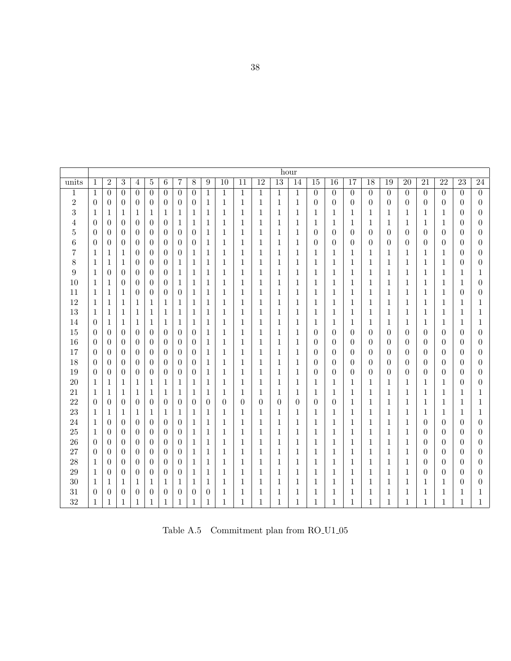<span id="page-43-0"></span>

|                |                  |                |                |                  |                |                  |                  |                  |                  |                  |                 |                 |                 | hour           |                  |                 |                  |                  |                  |                 |                 |                  |                  |                  |
|----------------|------------------|----------------|----------------|------------------|----------------|------------------|------------------|------------------|------------------|------------------|-----------------|-----------------|-----------------|----------------|------------------|-----------------|------------------|------------------|------------------|-----------------|-----------------|------------------|------------------|------------------|
| units          | $\mathbf{1}$     | $\overline{2}$ | 3              | $\overline{4}$   | $\bf 5$        | $\overline{6}$   | 7                | $8\,$            | 9                | $\overline{10}$  | $\overline{11}$ | $\overline{12}$ | $\overline{13}$ | 14             | $\overline{15}$  | $\overline{16}$ | $\overline{17}$  | $\overline{18}$  | $\overline{19}$  | $\overline{20}$ | $\overline{21}$ | $\overline{22}$  | $\overline{23}$  | $\overline{24}$  |
| $\mathbf 1$    | 1                | $\overline{0}$ | $\overline{0}$ | $\overline{0}$   | $\overline{0}$ | $\theta$         | $\overline{0}$   | $\boldsymbol{0}$ | $\mathbf{1}$     | $\mathbf{1}$     | 1               | 1               | $\mathbf{1}$    | 1              | $\boldsymbol{0}$ | $\overline{0}$  | $\boldsymbol{0}$ | $\overline{0}$   | $\overline{0}$   | $\overline{0}$  | $\theta$        | $\overline{0}$   | $\theta$         | $\overline{0}$   |
| $\overline{2}$ | $\theta$         | $\theta$       | $\overline{0}$ | $\theta$         | $\overline{0}$ | $\theta$         | $\theta$         | $\theta$         | 1                | 1                | 1               | 1               | $\mathbf{1}$    | 1              | $\theta$         | $\theta$        | $\overline{0}$   | $\theta$         | $\overline{0}$   | $\theta$        | $\theta$        | $\theta$         | $\boldsymbol{0}$ | $\boldsymbol{0}$ |
| 3              | 1                | $\mathbf{1}$   | 1              | $\mathbf 1$      | 1              | $\mathbf{1}$     | 1                | $\mathbf 1$      | $\mathbf{1}$     | $\,1$            | 1               | 1               | 1               | 1              | $\mathbf{1}$     | 1               | 1                | 1                | $\mathbf{1}$     | $\mathbf{1}$    | $\mathbf{1}$    | $\mathbf{1}$     | $\boldsymbol{0}$ | $\boldsymbol{0}$ |
| 4              | $\overline{0}$   | $\overline{0}$ | $\overline{0}$ | $\theta$         | $\overline{0}$ | $\boldsymbol{0}$ | 1                | 1                | 1                | $\mathbf{1}$     | 1               | 1               | $\mathbf{1}$    | 1              | 1                | 1               | $\mathbf 1$      | 1                | 1                | $\mathbf 1$     | $\mathbf{1}$    | 1                | $\boldsymbol{0}$ | $\overline{0}$   |
| 5              | $\overline{0}$   | $\theta$       | $\overline{0}$ | $\theta$         | $\theta$       | $\theta$         | $\overline{0}$   | $\theta$         | $\mathbf{1}$     | $\mathbf{1}$     | 1               | 1               | $\mathbf{1}$    | 1              | $\boldsymbol{0}$ | $\theta$        | $\overline{0}$   | $\overline{0}$   | $\boldsymbol{0}$ | $\theta$        | $\overline{0}$  | $\boldsymbol{0}$ | $\theta$         | $\theta$         |
| 6              | $\theta$         | $\overline{0}$ | $\overline{0}$ | $\overline{0}$   | $\overline{0}$ | $\theta$         | $\overline{0}$   | $\theta$         | 1                | $\,1$            | 1               | 1               | $\mathbf{1}$    | 1              | $\boldsymbol{0}$ | $\theta$        | $\overline{0}$   | $\overline{0}$   | 0                | $\theta$        | $\overline{0}$  | $\overline{0}$   | $\theta$         | $\theta$         |
| 7              | 1                | $\mathbf 1$    | $\mathbf 1$    | $\theta$         | $\overline{0}$ | $\theta$         | $\theta$         | 1                | $\mathbf 1$      | $\,1$            | 1               | 1               | $\mathbf{1}$    | 1              | $\mathbf{1}$     | 1               | 1                | $\mathbf{1}$     | $\mathbf{1}$     | 1               | 1               | 1                | $\overline{0}$   | $\theta$         |
| 8              | $\mathbf{1}$     | $\mathbf 1$    | 1              | $\theta$         | $\theta$       | $\theta$         | 1                | $\mathbf 1$      | $\mathbf 1$      | $\,1$            | 1               | 1               | 1               | 1              | 1                | 1               | 1                | 1                | 1                | 1               | 1               | 1                | 0                | $\theta$         |
| 9              | 1                | $\overline{0}$ | $\overline{0}$ | $\theta$         | $\overline{0}$ | $\theta$         | 1                | 1                | 1                | $\mathbf 1$      | 1               | 1               | 1               | 1              | 1                | 1               | 1                | 1                | 1                | 1               | 1               | 1                | 1                | 1                |
| 10             | $\mathbf{1}$     | $\mathbf 1$    | $\overline{0}$ | $\theta$         | $\overline{0}$ | $\boldsymbol{0}$ | 1                | $\mathbf{1}$     | $\mathbf{1}$     | $\mathbf{1}$     | 1               | 1               | $\mathbf{1}$    | 1              | $\mathbf{1}$     | 1               | $\mathbf{1}$     | 1                | $\mathbf{1}$     | 1               | $\mathbf{1}$    | $\mathbf{1}$     | 1                | $\overline{0}$   |
| 11             | 1                | 1              | 1              | $\boldsymbol{0}$ | $\overline{0}$ | $\boldsymbol{0}$ | $\overline{0}$   | 1                | $\mathbf{1}$     | $\,1$            | 1               | 1               | 1               | 1              | 1                | 1               | 1                | 1                | 1                | 1               | 1               | 1                | $\boldsymbol{0}$ | $\overline{0}$   |
| 12             | 1                | $\mathbf 1$    | 1              | $\mathbf 1$      | 1              | 1                | 1                | 1                | 1                | $\mathbf 1$      | 1               | 1               | 1               | 1              | 1                | 1               | 1                | 1                | 1                | 1               | 1               | 1                | 1                | 1                |
| 13             | 1                | $\mathbf 1$    | 1              | $\mathbf{1}$     | 1              | 1                | 1                | 1                | 1                | 1                | 1               | 1               | 1               | 1              | 1                | 1               | 1                | 1                | 1                | 1               | 1               | 1                | 1                | 1                |
| 14             | $\theta$         | $\mathbf{1}$   | 1              | $\mathbf 1$      | 1              | 1                | 1                | 1                | $\mathbf{1}$     | $\mathbf 1$      | 1               | 1               | $\mathbf{1}$    | 1              | $\mathbf 1$      | 1               | $\mathbf{1}$     | 1                | 1                | 1               | $\mathbf{1}$    | 1                | 1                | $\mathbf 1$      |
| 15             | $\theta$         | $\overline{0}$ | $\overline{0}$ | $\boldsymbol{0}$ | $\overline{0}$ | $\boldsymbol{0}$ | $\overline{0}$   | $\overline{0}$   | $\mathbf{1}$     | $\,1$            | 1               | 1               | $\mathbf{1}$    | 1              | $\boldsymbol{0}$ | $\theta$        | $\boldsymbol{0}$ | $\theta$         | 0                | $\theta$        | $\overline{0}$  | $\overline{0}$   | $\boldsymbol{0}$ | $\boldsymbol{0}$ |
| 16             | $\theta$         | $\overline{0}$ | $\overline{0}$ | $\theta$         | $\theta$       | $\theta$         | $\theta$         | $\theta$         | $\mathbf{1}$     | $\,1$            | 1               | 1               | $\mathbf{1}$    | 1              | $\theta$         | $\theta$        | $\overline{0}$   | $\overline{0}$   | $\overline{0}$   | $\theta$        | $\overline{0}$  | $\theta$         | $\theta$         | $\theta$         |
| 17             | $\theta$         | $\theta$       | $\overline{0}$ | $\theta$         | $\theta$       | $\overline{0}$   | $\overline{0}$   | $\theta$         | 1                | $\,1$            | 1               | 1               | $\mathbf{1}$    | 1              | $\overline{0}$   | $\theta$        | $\overline{0}$   | 0                | $\overline{0}$   | $\theta$        | $\overline{0}$  | $\theta$         | $\theta$         | $\theta$         |
| 18             | $\theta$         | $\theta$       | $\overline{0}$ | $\theta$         | $\theta$       | $\theta$         | $\theta$         | $\theta$         | 1                | $\mathbf{1}$     | 1               | 1               | $\mathbf{1}$    | 1              | $\overline{0}$   | $\theta$        | $\theta$         | $\overline{0}$   | $\overline{0}$   | $\theta$        | $\theta$        | $\theta$         | $\theta$         | $\theta$         |
| 19             | $\boldsymbol{0}$ | $\overline{0}$ | $\overline{0}$ | $\theta$         | $\overline{0}$ | $\theta$         | $\boldsymbol{0}$ | $\theta$         | 1                | $\,1$            | 1               | 1               | 1               | 1              | $\overline{0}$   | $\theta$        | $\overline{0}$   | $\boldsymbol{0}$ | $\theta$         | $\theta$        | $\overline{0}$  | $\theta$         | $\boldsymbol{0}$ | $\theta$         |
| 20             | 1                | 1              | 1              | 1                | 1              | 1                | 1                | $\mathbf{1}$     | $\mathbf{1}$     | $\mathbf 1$      | 1               | 1               | 1               | 1              | 1                | 1               | 1                | 1                | 1                | 1               | 1               | 1                | $\theta$         | $\theta$         |
| 21             | $\mathbf{1}$     | $\mathbf 1$    | 1              | $\mathbf{1}$     | 1              | $\mathbf{1}$     | 1                | $\mathbf{1}$     | $\mathbf{1}$     | $\mathbf{1}$     | 1               | 1               | $\mathbf{1}$    | 1              | $\mathbf{1}$     | 1               | $\mathbf{1}$     | $\mathbf{1}$     | $\mathbf{1}$     | 1               | $\mathbf{1}$    | $\mathbf{1}$     | 1                | 1                |
| 22             | $\theta$         | $\overline{0}$ | $\overline{0}$ | $\boldsymbol{0}$ | $\overline{0}$ | $\boldsymbol{0}$ | $\overline{0}$   | $\theta$         | $\overline{0}$   | $\boldsymbol{0}$ | 0               | $\theta$        | $\theta$        | $\overline{0}$ | 0                | $\theta$        | $\mathbf{1}$     | 1                | 1                | 1               | $\mathbf{1}$    | 1                | 1                | 1                |
| 23             | 1                | 1              | 1              | $\mathbf 1$      | 1              | 1                | 1                | 1                | $\mathbf 1$      | $\mathbf 1$      | 1               | 1               | 1               | 1              | 1                | 1               | 1                | 1                | 1                | 1               | 1               | 1                | 1                | 1                |
| 24             | 1                | $\theta$       | 0              | $\theta$         | $\overline{0}$ | $\boldsymbol{0}$ | 0                | 1                | 1                | $\mathbf{1}$     | 1               | 1               | 1               | 1              | 1                | 1               | 1                | 1                | 1                | 1               | $\theta$        | $\theta$         | 0                | $\overline{0}$   |
| 25             | 1                | $\overline{0}$ | $\theta$       | $\theta$         | $\overline{0}$ | $\overline{0}$   | $\overline{0}$   | 1                | $\mathbf{1}$     | $\mathbf 1$      | 1               | 1               | $\mathbf{1}$    | 1              | 1                | 1               | $\mathbf 1$      | 1                | 1                | 1               | $\theta$        | $\overline{0}$   | $\theta$         | $\overline{0}$   |
| 26             | $\boldsymbol{0}$ | $\overline{0}$ | $\overline{0}$ | $\theta$         | $\overline{0}$ | $\boldsymbol{0}$ | $\overline{0}$   | $\mathbf{1}$     | 1                | $\mathbf{1}$     | $\mathbf{1}$    | 1               | $\mathbf{1}$    | 1              | $\mathbf{1}$     | 1               | $\mathbf{1}$     | $\mathbf{1}$     | $\mathbf{1}$     | $\mathbf{1}$    | $\theta$        | $\overline{0}$   | $\theta$         | $\boldsymbol{0}$ |
| 27             | $\boldsymbol{0}$ | $\overline{0}$ | $\overline{0}$ | $\theta$         | $\theta$       | $\theta$         | $\overline{0}$   | $\mathbf{1}$     | $\mathbf{1}$     | $\mathbf{1}$     | 1               | 1               | $\mathbf{1}$    | 1              | $\mathbf{1}$     | 1               | $\mathbf{1}$     | $\mathbf{1}$     | 1                | $\mathbf{1}$    | $\overline{0}$  | $\theta$         | $\overline{0}$   | $\theta$         |
| 28             | 1                | $\theta$       | $\overline{0}$ | $\theta$         | $\overline{0}$ | $\theta$         | $\theta$         | $\mathbf{1}$     | 1                | 1                | 1               | 1               | 1               | 1              | 1                | 1               | 1                | 1                | 1                | 1               | $\theta$        | $\theta$         | $\theta$         | $\theta$         |
| 29             | $\mathbf{1}$     | $\theta$       | 0              | $\theta$         | $\theta$       | $\theta$         | $\boldsymbol{0}$ | $\mathbf{1}$     | 1                | $\mathbf{1}$     | $\mathbf{1}$    | 1               | $\mathbf{1}$    | 1              | $\mathbf{1}$     | 1               | $\mathbf{1}$     | $\mathbf{1}$     | 1                | $\mathbf{1}$    | $\theta$        | $\overline{0}$   | 0                | $\theta$         |
| 30             | 1                | 1              | 1              | 1                | 1              | 1                | 1                | 1                | 1                | 1                | 1               | 1               | 1               | 1              | 1                | 1               | 1                | 1                | 1                | 1               | 1               | 1                | $\boldsymbol{0}$ | $\theta$         |
| 31             | $\theta$         | $\theta$       | $\overline{0}$ | $\boldsymbol{0}$ | $\overline{0}$ | $\theta$         | $\boldsymbol{0}$ | $\boldsymbol{0}$ | $\boldsymbol{0}$ | $\mathbf 1$      | 1               | 1               | 1               | 1              | 1                | 1               | 1                | 1                | 1                | 1               | 1               | 1                | $\mathbf 1$      | 1                |
| 32             | $\mathbf{1}$     | $\mathbf{1}$   | $\mathbf{1}$   | $\mathbf{1}$     | $\mathbf{1}$   | $\mathbf{1}$     | $\mathbf{1}$     | $\mathbf{1}$     | $\mathbf{1}$     | $\mathbf{1}$     | 1               | 1               | $\mathbf{1}$    | 1              | $\mathbf{1}$     | 1               | 1                | $\mathbf{1}$     | 1                | 1               | 1               | $\mathbf{1}$     | $\mathbf 1$      | 1                |

Table A.5  $\,$  Commitment plan from RO\_U1\_05  $\,$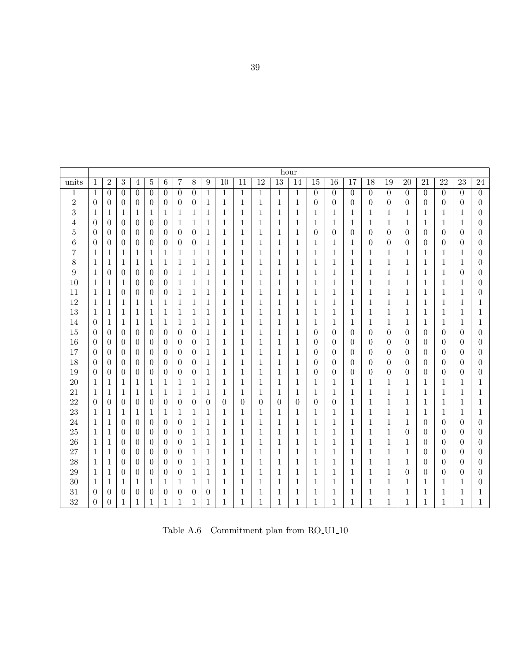<span id="page-44-0"></span>

|                |                  |                  |                  |                |                |                  |                  |                  |                  |                  |                  |                 | hour             |                  |                  |                  |                  |                  |                  |                  |                  |                  |                  |                  |
|----------------|------------------|------------------|------------------|----------------|----------------|------------------|------------------|------------------|------------------|------------------|------------------|-----------------|------------------|------------------|------------------|------------------|------------------|------------------|------------------|------------------|------------------|------------------|------------------|------------------|
| units          | $\mathbf{1}$     | $\overline{2}$   | 3                | $\overline{4}$ | $\overline{5}$ | $\overline{6}$   | $\overline{7}$   | $8\,$            | $\boldsymbol{9}$ | $\overline{10}$  | $\overline{11}$  | $\overline{12}$ | $\overline{13}$  | 14               | $\overline{15}$  | $\overline{16}$  | $\overline{17}$  | $\overline{18}$  | $\overline{19}$  | $\overline{20}$  | $\overline{21}$  | $\overline{22}$  | $\overline{23}$  | $\overline{24}$  |
| $\,1$          | 1                | $\overline{0}$   | $\overline{0}$   | $\overline{0}$ | $\overline{0}$ | $\overline{0}$   | $\overline{0}$   | $\theta$         | $\mathbf{1}$     | $\mathbf{1}$     | $\mathbf{1}$     | $\mathbf{1}$    | $\mathbf{1}$     | $\mathbf{1}$     | $\boldsymbol{0}$ | $\overline{0}$   | $\theta$         | $\overline{0}$   | $\theta$         | $\overline{0}$   | $\overline{0}$   | $\overline{0}$   | $\overline{0}$   | $\overline{0}$   |
| $\,2$          | $\theta$         | $\theta$         | $\boldsymbol{0}$ | $\overline{0}$ | $\theta$       | $\overline{0}$   | $\overline{0}$   | $\overline{0}$   | 1                | 1                | 1                | 1               | $\mathbf{1}$     | $\mathbf{1}$     | $\overline{0}$   | $\theta$         | $\theta$         | $\theta$         | $\overline{0}$   | $\theta$         | $\theta$         | $\theta$         | 0                | $\boldsymbol{0}$ |
| 3              | 1                | 1                | 1                | 1              | 1              | 1                | 1                | $\mathbf{1}$     | 1                | 1                | 1                | 1               | $\mathbf 1$      | 1                | 1                | 1                | 1                | 1                | 1                | 1                | 1                | 1                | 1                | $\overline{0}$   |
| 4              | $\theta$         | $\overline{0}$   | $\overline{0}$   | $\overline{0}$ | $\theta$       | $\overline{0}$   | 1                | $\mathbf 1$      | 1                | 1                | 1                | 1               | $\mathbf{1}$     | 1                | 1                | 1                | $\mathbf 1$      | 1                | 1                | 1                | 1                | 1                | 1                | $\overline{0}$   |
| $\overline{5}$ | $\boldsymbol{0}$ | $\overline{0}$   | $\overline{0}$   | $\overline{0}$ | $\theta$       | $\overline{0}$   | $\boldsymbol{0}$ | $\boldsymbol{0}$ | $\mathbf{1}$     | $\mathbf 1$      | $\mathbf{1}$     | $\mathbf{1}$    | $\mathbf{1}$     | $\mathbf{1}$     | $\boldsymbol{0}$ | $\boldsymbol{0}$ | $\boldsymbol{0}$ | $\boldsymbol{0}$ | $\boldsymbol{0}$ | $\boldsymbol{0}$ | $\theta$         | $\boldsymbol{0}$ | $\boldsymbol{0}$ | $\boldsymbol{0}$ |
| 6              | $\theta$         | $\overline{0}$   | $\overline{0}$   | $\overline{0}$ | $\theta$       | $\overline{0}$   | $\overline{0}$   | $\overline{0}$   | $\mathbf{1}$     | $\mathbf{1}$     | $\mathbf{1}$     | $\mathbf 1$     | $\,1\,$          | $\mathbf 1$      | $\mathbf{1}$     | $\mathbf{1}$     | $\mathbf{1}$     | $\theta$         | $\boldsymbol{0}$ | $\overline{0}$   | $\boldsymbol{0}$ | $\overline{0}$   | $\boldsymbol{0}$ | $\overline{0}$   |
| 7              | 1                | $\mathbf{1}$     | $\mathbf 1$      | $\mathbf{1}$   | $\mathbf{1}$   | $\mathbf{1}$     | $\mathbf 1$      | $\mathbf{1}$     | $\mathbf 1$      | $\mathbf 1$      | $\mathbf{1}$     | $\mathbf{1}$    | $\mathbf{1}$     | $\mathbf 1$      | $\mathbf{1}$     | $\mathbf{1}$     | $\mathbf{1}$     | $\mathbf{1}$     | $\mathbf{1}$     | 1                | $\mathbf{1}$     | $\mathbf{1}$     | 1                | $\overline{0}$   |
| 8              | 1                | $\mathbf{1}$     | 1                | $\mathbf{1}$   | 1              | $\mathbf{1}$     | 1                | $\mathbf{1}$     | 1                | $\mathbf 1$      | $\mathbf{1}$     | 1               | $\mathbf{1}$     | $\mathbf 1$      | $\mathbf{1}$     | $\mathbf{1}$     | $\mathbf{1}$     | $\mathbf{1}$     | $\mathbf{1}$     | $\mathbf{1}$     | $\mathbf{1}$     | $\mathbf{1}$     | $\mathbf 1$      | $\overline{0}$   |
| 9              | 1                | $\overline{0}$   | $\theta$         | $\theta$       | $\theta$       | $\theta$         | 1                | $\mathbf{1}$     | 1                | 1                | 1                | 1               | $\mathbf 1$      | 1                | $\mathbf{1}$     | 1                | $\mathbf{1}$     | 1                | $\mathbf{1}$     | $\mathbf{1}$     | 1                | $\mathbf{1}$     | $\theta$         | $\theta$         |
| 10             | 1                | $\mathbf{1}$     | 1                | $\theta$       | $\theta$       | $\overline{0}$   | 1                | $\mathbf{1}$     | 1                | $\mathbf 1$      | $\mathbf{1}$     | 1               | $\mathbf{1}$     | $\mathbf{1}$     | $\mathbf{1}$     | $\mathbf{1}$     | $\mathbf{1}$     | $\mathbf{1}$     | $\mathbf{1}$     | $\mathbf{1}$     | $\mathbf{1}$     | $\mathbf{1}$     | 1                | $\theta$         |
| 11             | 1                | $\,1$            | $\overline{0}$   | $\theta$       | $\theta$       | $\boldsymbol{0}$ | $\mathbf 1$      | $\mathbf{1}$     | $\mathbf{1}$     | $\mathbf 1$      | 1                | 1               | 1                | $\mathbf{1}$     | $\mathbf{1}$     | $\mathbf{1}$     | $\mathbf{1}$     | 1                | $\mathbf{1}$     | $\mathbf{1}$     | 1                | $\mathbf{1}$     | 1                | $\theta$         |
| 12             | 1                | $\mathbf 1$      | 1                | 1              | 1              | 1                | 1                | 1                | 1                | 1                | 1                | 1               | 1                | 1                | 1                | 1                | 1                | 1                | 1                | 1                | 1                | 1                | 1                | 1                |
| 13             | 1                | $\mathbf{1}$     | 1                | $\mathbf{1}$   | 1              | $\mathbf{1}$     | 1                | $\mathbf{1}$     | 1                | $\mathbf 1$      | 1                | 1               | 1                | 1                | 1                | 1                | 1                | 1                | $\mathbf{1}$     | 1                | 1                | 1                | 1                | 1                |
| 14             | $\theta$         | $\mathbf{1}$     | 1                | 1              | 1              | 1                | 1                | 1                | 1                | 1                | 1                | 1               | 1                | 1                | 1                | 1                | 1                | 1                | 1                | 1                | 1                | 1                | 1                | 1                |
| 15             | $\theta$         | $\theta$         | $\theta$         | $\overline{0}$ | $\theta$       | $\theta$         | $\theta$         | $\overline{0}$   | 1                | 1                | 1                | 1               | $\mathbf 1$      | 1                | $\boldsymbol{0}$ | $\theta$         | $\theta$         | $\theta$         | $\theta$         | $\theta$         | $\theta$         | $\overline{0}$   | $\theta$         | $\theta$         |
| 16             | $\theta$         | $\overline{0}$   | $\overline{0}$   | $\overline{0}$ | $\theta$       | $\overline{0}$   | $\overline{0}$   | $\overline{0}$   | $\mathbf{1}$     | $\mathbf{1}$     | $\mathbf{1}$     | 1               | $\mathbf{1}$     | $\mathbf{1}$     | $\boldsymbol{0}$ | $\theta$         | $\theta$         | $\theta$         | $\overline{0}$   | $\theta$         | $\theta$         | $\theta$         | $\theta$         | $\theta$         |
| 17             | $\overline{0}$   | $\overline{0}$   | $\overline{0}$   | $\overline{0}$ | $\overline{0}$ | $\overline{0}$   | $\overline{0}$   | $\overline{0}$   | 1                | $\mathbf{1}$     | 1                | $\mathbf{1}$    | $\mathbf{1}$     | $\mathbf{1}$     | $\boldsymbol{0}$ | $\theta$         | $\overline{0}$   | $\theta$         | $\overline{0}$   | $\overline{0}$   | $\theta$         | $\theta$         | $\boldsymbol{0}$ | $\theta$         |
| 18             | $\theta$         | $\overline{0}$   | $\boldsymbol{0}$ | $\overline{0}$ | $\theta$       | $\overline{0}$   | $\theta$         | $\overline{0}$   | 1                | $\mathbf{1}$     | 1                | 1               | $\mathbf 1$      | 1                | $\theta$         | $\theta$         | $\overline{0}$   | 0                | $\theta$         | $\theta$         | $\theta$         | $\theta$         | $\theta$         | $\theta$         |
| 19             | $\theta$         | $\overline{0}$   | $\boldsymbol{0}$ | $\overline{0}$ | $\theta$       | $\boldsymbol{0}$ | $\overline{0}$   | $\boldsymbol{0}$ | 1                | 1                | 1                | 1               | $\mathbf 1$      | 1                | 0                | $\theta$         | $\boldsymbol{0}$ | $\boldsymbol{0}$ | $\overline{0}$   | $\overline{0}$   | $\theta$         | $\theta$         | $\boldsymbol{0}$ | $\theta$         |
| 20             | 1                | $\mathbf{1}$     | 1                | 1              | 1              | 1                | 1                | 1                | 1                | 1                | 1                | 1               | 1                | 1                | 1                | 1                | 1                | 1                | 1                | 1                | 1                | 1                | 1                | 1                |
| 21             | 1                | $\mathbf{1}$     | 1                | $\mathbf 1$    | 1              | 1                | 1                | $\mathbf{1}$     | $\mathbf{1}$     | 1                | 1                | 1               | $\mathbf 1$      | 1                | $\mathbf{1}$     | 1                | $\mathbf{1}$     | 1                | $\mathbf{1}$     | 1                | $\mathbf{1}$     | $\mathbf{1}$     | 1                | 1                |
| 22             | $\theta$         | $\boldsymbol{0}$ | $\overline{0}$   | $\overline{0}$ | $\theta$       | $\overline{0}$   | $\boldsymbol{0}$ | $\boldsymbol{0}$ | $\boldsymbol{0}$ | $\boldsymbol{0}$ | $\boldsymbol{0}$ | $\overline{0}$  | $\boldsymbol{0}$ | $\boldsymbol{0}$ | $\boldsymbol{0}$ | $\boldsymbol{0}$ | $\mathbf 1$      | $\mathbf 1$      | $\,1$            | $\mathbf{1}$     | $\mathbf{1}$     | $\mathbf{1}$     | $\mathbf 1$      | 1                |
| 23             | 1                | $\mathbf 1$      | 1                | $\mathbf{1}$   | 1              | 1                | $\mathbf 1$      | 1                | $\mathbf{1}$     | 1                | 1                | 1               | 1                | 1                | 1                | 1                | 1                | 1                | 1                | 1                | 1                | 1                | 1                | 1                |
| 24             | 1                | $\,1$            | 0                | $\overline{0}$ | $\theta$       | $\boldsymbol{0}$ | $\boldsymbol{0}$ | $\mathbf 1$      | $\mathbf 1$      | $\mathbf 1$      | $\mathbf{1}$     | 1               | $\,1$            | 1                | $\,1$            | 1                | 1                | $\mathbf 1$      | $\,1$            | $\mathbf{1}$     | $\theta$         | $\overline{0}$   | $\boldsymbol{0}$ | $\boldsymbol{0}$ |
| 25             | 1                | $\mathbf{1}$     | $\boldsymbol{0}$ | $\overline{0}$ | $\theta$       | $\overline{0}$   | $\theta$         | 1                | 1                | 1                | 1                | 1               | 1                | 1                | 1                | 1                | 1                | 1                | $\mathbf{1}$     | $\overline{0}$   | $\overline{0}$   | $\overline{0}$   | $\boldsymbol{0}$ | $\boldsymbol{0}$ |
| 26             | 1                | $\mathbf{1}$     | $\boldsymbol{0}$ | $\theta$       | $\theta$       | $\theta$         | $\overline{0}$   | $\mathbf{1}$     | $\mathbf 1$      | $\mathbf{1}$     | 1                | 1               | $\mathbf{1}$     | 1                | $\mathbf{1}$     | 1                | 1                | 1                | $\mathbf{1}$     | $\mathbf{1}$     | $\overline{0}$   | $\theta$         | $\theta$         | $\theta$         |
| 27             | 1                | $\mathbf{1}$     | $\theta$         | $\overline{0}$ | $\theta$       | $\overline{0}$   | $\overline{0}$   | $\mathbf{1}$     | $\mathbf{1}$     | $\mathbf{1}$     | $\mathbf{1}$     | $\mathbf{1}$    | $\mathbf{1}$     | $\mathbf 1$      | $\mathbf{1}$     | $\mathbf{1}$     | $\mathbf{1}$     | $\mathbf{1}$     | $\mathbf{1}$     | $\mathbf{1}$     | $\overline{0}$   | $\theta$         | $\theta$         | $\theta$         |
| 28             | 1                | $\mathbf{1}$     | $\theta$         | $\theta$       | $\theta$       | $\theta$         | $\overline{0}$   | $\mathbf{1}$     | 1                | $\mathbf{1}$     | $\mathbf{1}$     | 1               | $\mathbf{1}$     | 1                | $\mathbf{1}$     | $\mathbf{1}$     | $\mathbf{1}$     | $\mathbf{1}$     | $\mathbf{1}$     | $\mathbf{1}$     | $\overline{0}$   | $\theta$         | $\overline{0}$   | $\theta$         |
| 29             | 1                | $\mathbf{1}$     | $\theta$         | $\theta$       | $\theta$       | $\overline{0}$   | $\theta$         | $\mathbf{1}$     | 1                | $\mathbf{1}$     | $\mathbf{1}$     | 1               | $\mathbf{1}$     | $\mathbf 1$      | $\mathbf{1}$     | 1                | 1                | $\mathbf{1}$     | $\mathbf{1}$     | $\theta$         | $\theta$         | $\theta$         | $\theta$         | $\overline{0}$   |
| 30             | 1                | 1                | 1                | 1              | 1              | 1                | 1                | 1                | 1                | 1                | 1                | 1               | 1                | 1                | 1                | 1                | 1                | 1                | $\mathbf{1}$     | 1                | 1                | 1                | 1                | $\theta$         |
| 31             | $\theta$         | $\boldsymbol{0}$ | 0                | $\overline{0}$ | $\theta$       | $\boldsymbol{0}$ | $\boldsymbol{0}$ | $\boldsymbol{0}$ | $\boldsymbol{0}$ | 1                | 1                | 1               | 1                | 1                | 1                | 1                | 1                | 1                | 1                | 1                | 1                | 1                | 1                | 1                |
| 32             | $\theta$         | $\boldsymbol{0}$ | $\mathbf{1}$     | $\mathbf{1}$   | $\mathbf{1}$   | $\mathbf{1}$     | $\mathbf{1}$     | $\mathbf{1}$     | $\mathbf{1}$     | $\mathbf{1}$     | $\mathbf{1}$     | 1               | $\mathbf{1}$     | 1                | $\mathbf{1}$     | 1                | $\mathbf{1}$     | $\mathbf{1}$     | 1                | $\mathbf{1}$     | $\mathbf{1}$     | $\mathbf{1}$     | $\mathbf 1$      | $\mathbf{1}$     |

Table A.6 Commitment plan from RO U1 10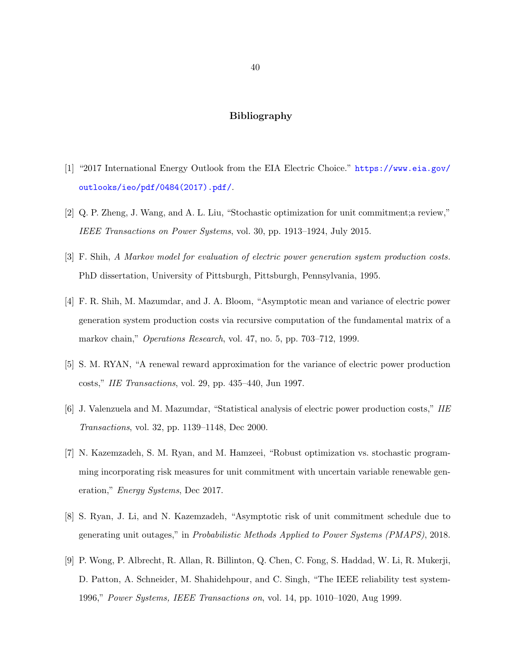# Bibliography

- <span id="page-45-0"></span>[1] "2017 International Energy Outlook from the EIA Electric Choice." [https://www.eia.gov/](https://www.eia.gov/outlooks/ieo/pdf/0484(2017).pdf/) [outlooks/ieo/pdf/0484\(2017\).pdf/](https://www.eia.gov/outlooks/ieo/pdf/0484(2017).pdf/).
- [2] Q. P. Zheng, J. Wang, and A. L. Liu, "Stochastic optimization for unit commitment;a review," IEEE Transactions on Power Systems, vol. 30, pp. 1913–1924, July 2015.
- [3] F. Shih, A Markov model for evaluation of electric power generation system production costs. PhD dissertation, University of Pittsburgh, Pittsburgh, Pennsylvania, 1995.
- [4] F. R. Shih, M. Mazumdar, and J. A. Bloom, "Asymptotic mean and variance of electric power generation system production costs via recursive computation of the fundamental matrix of a markov chain," Operations Research, vol. 47, no. 5, pp. 703–712, 1999.
- [5] S. M. RYAN, "A renewal reward approximation for the variance of electric power production costs," IIE Transactions, vol. 29, pp. 435–440, Jun 1997.
- [6] J. Valenzuela and M. Mazumdar, "Statistical analysis of electric power production costs," IIE Transactions, vol. 32, pp. 1139–1148, Dec 2000.
- [7] N. Kazemzadeh, S. M. Ryan, and M. Hamzeei, "Robust optimization vs. stochastic programming incorporating risk measures for unit commitment with uncertain variable renewable generation," Energy Systems, Dec 2017.
- [8] S. Ryan, J. Li, and N. Kazemzadeh, "Asymptotic risk of unit commitment schedule due to generating unit outages," in Probabilistic Methods Applied to Power Systems (PMAPS), 2018.
- [9] P. Wong, P. Albrecht, R. Allan, R. Billinton, Q. Chen, C. Fong, S. Haddad, W. Li, R. Mukerji, D. Patton, A. Schneider, M. Shahidehpour, and C. Singh, "The IEEE reliability test system-1996," Power Systems, IEEE Transactions on, vol. 14, pp. 1010–1020, Aug 1999.